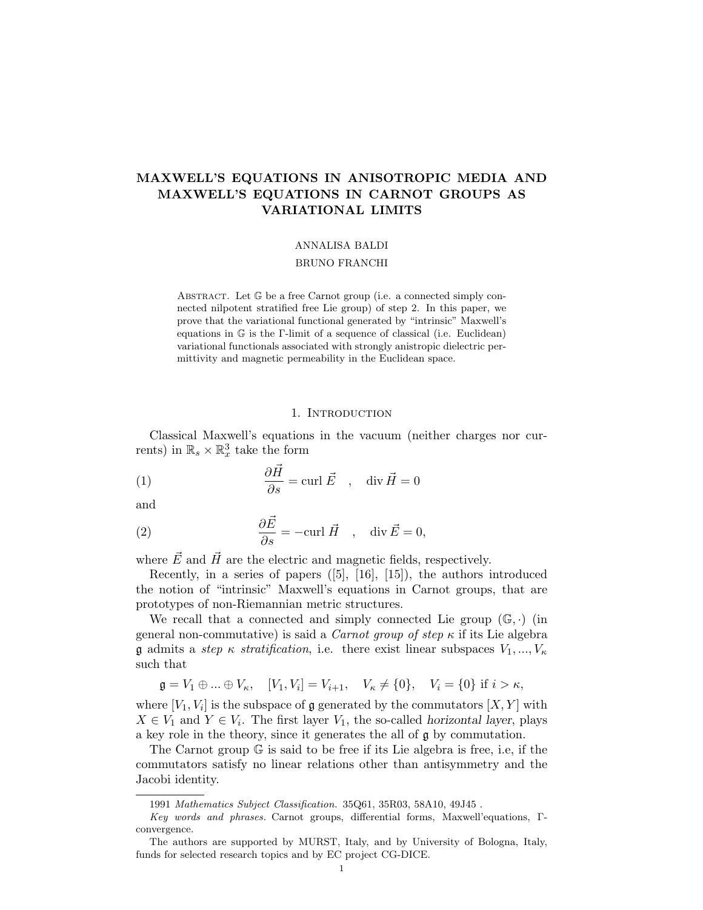# MAXWELL'S EQUATIONS IN ANISOTROPIC MEDIA AND MAXWELL'S EQUATIONS IN CARNOT GROUPS AS VARIATIONAL LIMITS

## ANNALISA BALDI

#### BRUNO FRANCHI

ABSTRACT. Let  $\mathbb G$  be a free Carnot group (i.e. a connected simply connected nilpotent stratified free Lie group) of step 2. In this paper, we prove that the variational functional generated by "intrinsic" Maxwell's equations in G is the Γ-limit of a sequence of classical (i.e. Euclidean) variational functionals associated with strongly anistropic dielectric permittivity and magnetic permeability in the Euclidean space.

#### 1. INTRODUCTION

Classical Maxwell's equations in the vacuum (neither charges nor currents) in  $\mathbb{R}_s \times \mathbb{R}_x^3$  take the form

(1) 
$$
\frac{\partial \vec{H}}{\partial s} = \text{curl } \vec{E} \quad , \quad \text{div } \vec{H} = 0
$$

and

(2) 
$$
\frac{\partial \vec{E}}{\partial s} = -\text{curl } \vec{H} \quad , \quad \text{div } \vec{E} = 0,
$$

where  $\vec{E}$  and  $\vec{H}$  are the electric and magnetic fields, respectively.

Recently, in a series of papers ([5], [16], [15]), the authors introduced the notion of "intrinsic" Maxwell's equations in Carnot groups, that are prototypes of non-Riemannian metric structures.

We recall that a connected and simply connected Lie group  $(\mathbb{G}, \cdot)$  (in general non-commutative) is said a *Carnot group of step*  $\kappa$  if its Lie algebra **g** admits a step  $\kappa$  stratification, i.e. there exist linear subspaces  $V_1, ..., V_{\kappa}$ such that

$$
\mathfrak{g} = V_1 \oplus ... \oplus V_{\kappa}, \quad [V_1, V_i] = V_{i+1}, \quad V_{\kappa} \neq \{0\}, \quad V_i = \{0\} \text{ if } i > \kappa,
$$

where  $[V_1, V_i]$  is the subspace of  $\mathfrak g$  generated by the commutators  $[X, Y]$  with  $X \in V_1$  and  $Y \in V_i$ . The first layer  $V_1$ , the so-called horizontal layer, plays a key role in the theory, since it generates the all of g by commutation.

The Carnot group G is said to be free if its Lie algebra is free, i.e, if the commutators satisfy no linear relations other than antisymmetry and the Jacobi identity.

<sup>1991</sup> Mathematics Subject Classification. 35Q61, 35R03, 58A10, 49J45 .

Key words and phrases. Carnot groups, differential forms, Maxwell'equations, Γconvergence.

The authors are supported by MURST, Italy, and by University of Bologna, Italy, funds for selected research topics and by EC project CG-DICE.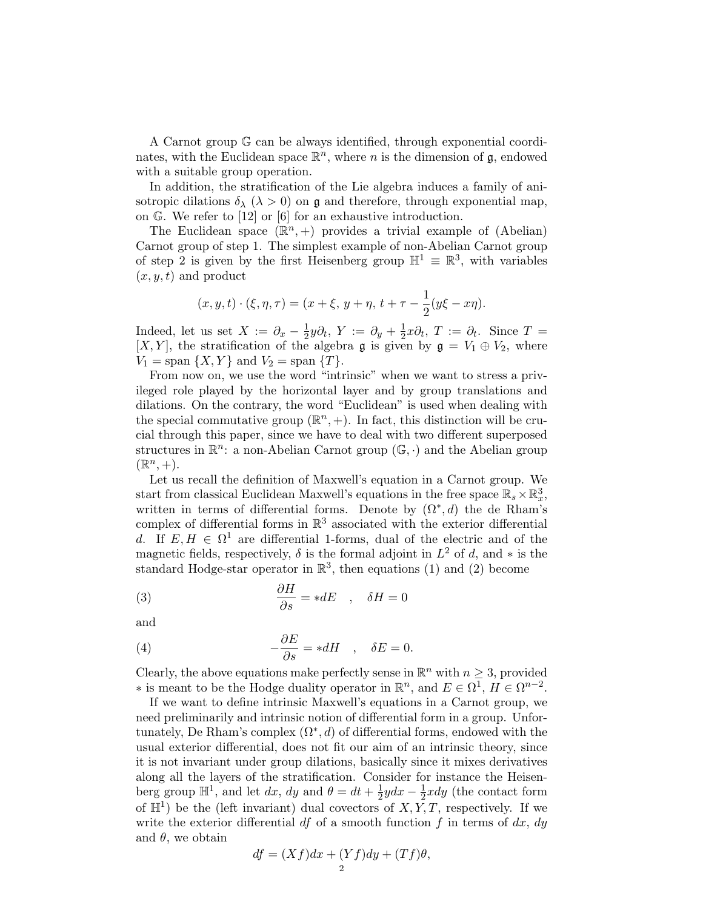A Carnot group G can be always identified, through exponential coordinates, with the Euclidean space  $\mathbb{R}^n$ , where n is the dimension of g, endowed with a suitable group operation.

In addition, the stratification of the Lie algebra induces a family of anisotropic dilations  $\delta_{\lambda}$  ( $\lambda > 0$ ) on g and therefore, through exponential map, on G. We refer to [12] or [6] for an exhaustive introduction.

The Euclidean space  $(\mathbb{R}^n,+)$  provides a trivial example of (Abelian) Carnot group of step 1. The simplest example of non-Abelian Carnot group of step 2 is given by the first Heisenberg group  $\mathbb{H}^1 \equiv \mathbb{R}^3$ , with variables  $(x, y, t)$  and product

$$
(x, y, t) \cdot (\xi, \eta, \tau) = (x + \xi, y + \eta, t + \tau - \frac{1}{2}(y\xi - x\eta)).
$$

Indeed, let us set  $X := \partial_x - \frac{1}{2}$  $\frac{1}{2}y\partial_t$ ,  $Y := \partial_y + \frac{1}{2}$  $\frac{1}{2}x\partial_t$ ,  $T := \partial_t$ . Since  $T =$ [X, Y], the stratification of the algebra  $\mathfrak g$  is given by  $\mathfrak g = V_1 \oplus V_2$ , where  $V_1 = \text{span} \{X, Y\} \text{ and } V_2 = \text{span} \{T\}.$ 

From now on, we use the word "intrinsic" when we want to stress a privileged role played by the horizontal layer and by group translations and dilations. On the contrary, the word "Euclidean" is used when dealing with the special commutative group  $(\mathbb{R}^n, +)$ . In fact, this distinction will be crucial through this paper, since we have to deal with two different superposed structures in  $\mathbb{R}^n$ : a non-Abelian Carnot group  $(\mathbb{G}, \cdot)$  and the Abelian group  $(\mathbb{R}^n, +).$ 

Let us recall the definition of Maxwell's equation in a Carnot group. We start from classical Euclidean Maxwell's equations in the free space  $\mathbb{R}_s \times \mathbb{R}^3_x$ , written in terms of differential forms. Denote by  $(\Omega^*, d)$  the de Rham's complex of differential forms in  $\mathbb{R}^3$  associated with the exterior differential d. If  $E, H \in \Omega^1$  are differential 1-forms, dual of the electric and of the magnetic fields, respectively,  $\delta$  is the formal adjoint in  $L^2$  of d, and  $*$  is the standard Hodge-star operator in  $\mathbb{R}^3$ , then equations (1) and (2) become

(3) 
$$
\frac{\partial H}{\partial s} = *dE \quad , \quad \delta H = 0
$$

and

(4) 
$$
-\frac{\partial E}{\partial s} = *dH \quad , \quad \delta E = 0.
$$

Clearly, the above equations make perfectly sense in  $\mathbb{R}^n$  with  $n \geq 3$ , provided  $\ast$  is meant to be the Hodge duality operator in ℝ<sup>n</sup>, and  $E \in \Omega^1$ ,  $H \in \Omega^{n-2}$ .

If we want to define intrinsic Maxwell's equations in a Carnot group, we need preliminarily and intrinsic notion of differential form in a group. Unfortunately, De Rham's complex  $(\Omega^*, d)$  of differential forms, endowed with the usual exterior differential, does not fit our aim of an intrinsic theory, since it is not invariant under group dilations, basically since it mixes derivatives along all the layers of the stratification. Consider for instance the Heisenberg group  $\mathbb{H}^1$ , and let dx, dy and  $\theta = dt + \frac{1}{2}$  $rac{1}{2}ydx - \frac{1}{2}$  $\frac{1}{2}xdy$  (the contact form of  $\mathbb{H}^1$ ) be the (left invariant) dual covectors of  $X, \tilde{Y}, T$ , respectively. If we write the exterior differential df of a smooth function f in terms of dx,  $dy$ and  $\theta$ , we obtain

$$
df = (Xf)dx + (Yf)dy + (Tf)\theta,
$$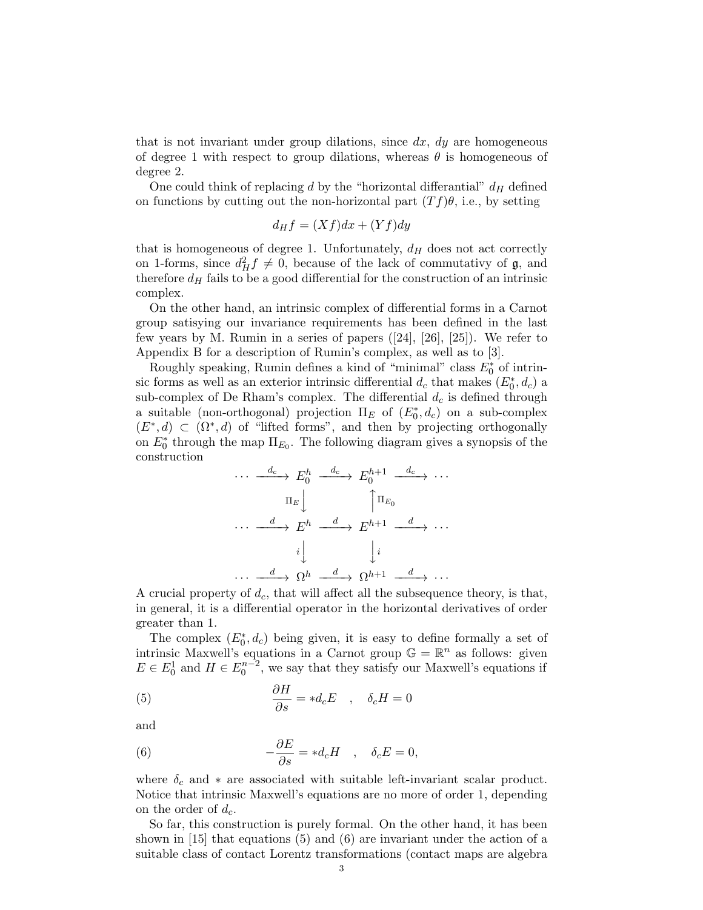that is not invariant under group dilations, since  $dx$ ,  $dy$  are homogeneous of degree 1 with respect to group dilations, whereas  $\theta$  is homogeneous of degree 2.

One could think of replacing d by the "horizontal differantial"  $d_H$  defined on functions by cutting out the non-horizontal part  $(Tf)\theta$ , i.e., by setting

$$
d_H f = (Xf)dx + (Yf)dy
$$

that is homogeneous of degree 1. Unfortunately,  $d_H$  does not act correctly on 1-forms, since  $d_H^2 f \neq 0$ , because of the lack of commutativy of  $\mathfrak{g}$ , and therefore  $d_H$  fails to be a good differential for the construction of an intrinsic complex.

On the other hand, an intrinsic complex of differential forms in a Carnot group satisying our invariance requirements has been defined in the last few years by M. Rumin in a series of papers ([24], [26], [25]). We refer to Appendix B for a description of Rumin's complex, as well as to [3].

Roughly speaking, Rumin defines a kind of "minimal" class  $E_0^*$  of intrinsic forms as well as an exterior intrinsic differential  $d_c$  that makes  $(E_0^*, d_c)$  a sub-complex of De Rham's complex. The differential  $d_c$  is defined through a suitable (non-orthogonal) projection  $\Pi_E$  of  $(E_0^*, d_c)$  on a sub-complex  $(E^*, d) \subset (\Omega^*, d)$  of "lifted forms", and then by projecting orthogonally on  $E_0^*$  through the map  $\Pi_{E_0}$ . The following diagram gives a synopsis of the construction

$$
\cdots \xrightarrow{d_c} E_0^h \xrightarrow{d_c} E_0^{h+1} \xrightarrow{d_c} \cdots
$$

$$
\Pi_E \downarrow \qquad \qquad \uparrow \Pi_{E_0}
$$

$$
\cdots \xrightarrow{d} E^h \xrightarrow{d} E^{h+1} \xrightarrow{d} \cdots
$$

$$
i \downarrow \qquad \qquad i
$$

$$
\cdots \xrightarrow{d} \Omega^h \xrightarrow{d} \Omega^{h+1} \xrightarrow{d} \cdots
$$

A crucial property of  $d_c$ , that will affect all the subsequence theory, is that, in general, it is a differential operator in the horizontal derivatives of order greater than 1.

The complex  $(E_0^*, d_c)$  being given, it is easy to define formally a set of intrinsic Maxwell's equations in a Carnot group  $\mathbb{G} = \mathbb{R}^n$  as follows: given  $E \in E_0^1$  and  $H \in E_0^{n-2}$ , we say that they satisfy our Maxwell's equations if

(5) 
$$
\frac{\partial H}{\partial s} = *d_c E \quad , \quad \delta_c H = 0
$$

and

(6) 
$$
-\frac{\partial E}{\partial s} = *d_c H \quad , \quad \delta_c E = 0,
$$

where  $\delta_c$  and  $*$  are associated with suitable left-invariant scalar product. Notice that intrinsic Maxwell's equations are no more of order 1, depending on the order of  $d_c$ .

So far, this construction is purely formal. On the other hand, it has been shown in [15] that equations (5) and (6) are invariant under the action of a suitable class of contact Lorentz transformations (contact maps are algebra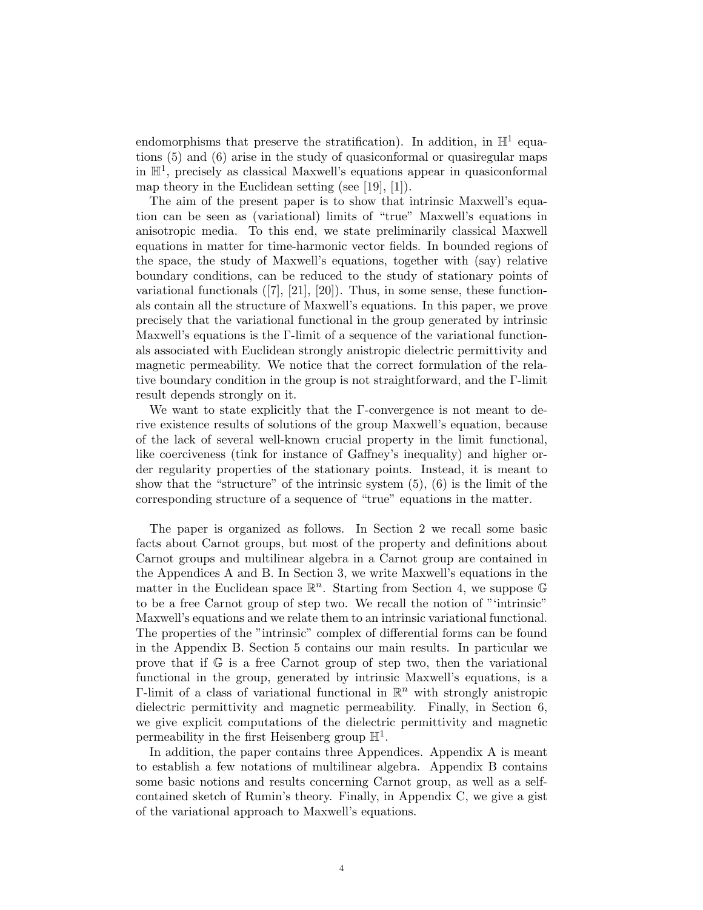endomorphisms that preserve the stratification). In addition, in  $\mathbb{H}^1$  equations (5) and (6) arise in the study of quasiconformal or quasiregular maps in  $\mathbb{H}^1$ , precisely as classical Maxwell's equations appear in quasiconformal map theory in the Euclidean setting (see [19], [1]).

The aim of the present paper is to show that intrinsic Maxwell's equation can be seen as (variational) limits of "true" Maxwell's equations in anisotropic media. To this end, we state preliminarily classical Maxwell equations in matter for time-harmonic vector fields. In bounded regions of the space, the study of Maxwell's equations, together with (say) relative boundary conditions, can be reduced to the study of stationary points of variational functionals  $([7], [21], [20])$ . Thus, in some sense, these functionals contain all the structure of Maxwell's equations. In this paper, we prove precisely that the variational functional in the group generated by intrinsic Maxwell's equations is the Γ-limit of a sequence of the variational functionals associated with Euclidean strongly anistropic dielectric permittivity and magnetic permeability. We notice that the correct formulation of the relative boundary condition in the group is not straightforward, and the Γ-limit result depends strongly on it.

We want to state explicitly that the Γ-convergence is not meant to derive existence results of solutions of the group Maxwell's equation, because of the lack of several well-known crucial property in the limit functional, like coerciveness (tink for instance of Gaffney's inequality) and higher order regularity properties of the stationary points. Instead, it is meant to show that the "structure" of the intrinsic system (5), (6) is the limit of the corresponding structure of a sequence of "true" equations in the matter.

The paper is organized as follows. In Section 2 we recall some basic facts about Carnot groups, but most of the property and definitions about Carnot groups and multilinear algebra in a Carnot group are contained in the Appendices A and B. In Section 3, we write Maxwell's equations in the matter in the Euclidean space  $\mathbb{R}^n$ . Starting from Section 4, we suppose G to be a free Carnot group of step two. We recall the notion of "'intrinsic" Maxwell's equations and we relate them to an intrinsic variational functional. The properties of the "intrinsic" complex of differential forms can be found in the Appendix B. Section 5 contains our main results. In particular we prove that if G is a free Carnot group of step two, then the variational functional in the group, generated by intrinsic Maxwell's equations, is a  $\Gamma$ -limit of a class of variational functional in  $\mathbb{R}^n$  with strongly anistropic dielectric permittivity and magnetic permeability. Finally, in Section 6, we give explicit computations of the dielectric permittivity and magnetic permeability in the first Heisenberg group  $\mathbb{H}^1$ .

In addition, the paper contains three Appendices. Appendix A is meant to establish a few notations of multilinear algebra. Appendix B contains some basic notions and results concerning Carnot group, as well as a selfcontained sketch of Rumin's theory. Finally, in Appendix C, we give a gist of the variational approach to Maxwell's equations.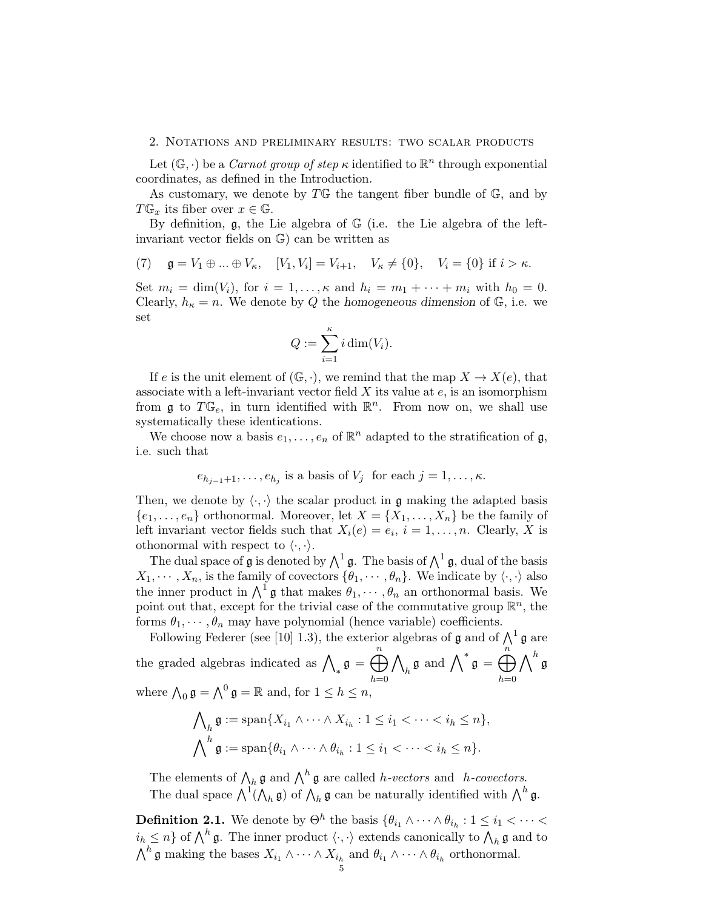#### 2. Notations and preliminary results: two scalar products

Let  $(\mathbb{G}, \cdot)$  be a *Carnot group of step*  $\kappa$  identified to  $\mathbb{R}^n$  through exponential coordinates, as defined in the Introduction.

As customary, we denote by  $T\mathbb{G}$  the tangent fiber bundle of  $\mathbb{G}$ , and by  $T\mathbb{G}_x$  its fiber over  $x \in \mathbb{G}$ .

By definition,  $\mathfrak{g}$ , the Lie algebra of  $\mathbb{G}$  (i.e. the Lie algebra of the leftinvariant vector fields on G) can be written as

(7) 
$$
\mathfrak{g} = V_1 \oplus ... \oplus V_\kappa
$$
,  $[V_1, V_i] = V_{i+1}$ ,  $V_\kappa \neq \{0\}$ ,  $V_i = \{0\}$  if  $i > \kappa$ .

Set  $m_i = \dim(V_i)$ , for  $i = 1, \ldots, \kappa$  and  $h_i = m_1 + \cdots + m_i$  with  $h_0 = 0$ . Clearly,  $h_{\kappa} = n$ . We denote by Q the homogeneous dimension of G, i.e. we set

$$
Q := \sum_{i=1}^{\kappa} i \dim(V_i).
$$

If e is the unit element of  $(\mathbb{G}, \cdot)$ , we remind that the map  $X \to X(e)$ , that associate with a left-invariant vector field  $X$  its value at  $e$ , is an isomorphism from  $\mathfrak g$  to  $T\mathbb G_e$ , in turn identified with  $\mathbb R^n$ . From now on, we shall use systematically these identications.

We choose now a basis  $e_1, \ldots, e_n$  of  $\mathbb{R}^n$  adapted to the stratification of  $\mathfrak{g}$ , i.e. such that

$$
e_{h_{j-1}+1}, \ldots, e_{h_j}
$$
 is a basis of  $V_j$  for each  $j = 1, \ldots, \kappa$ .

Then, we denote by  $\langle \cdot, \cdot \rangle$  the scalar product in g making the adapted basis  ${e_1, \ldots, e_n}$  orthonormal. Moreover, let  $X = \{X_1, \ldots, X_n\}$  be the family of left invariant vector fields such that  $X_i(e) = e_i$ ,  $i = 1, \ldots, n$ . Clearly, X is othonormal with respect to  $\langle \cdot, \cdot \rangle$ .

The dual space of  $\mathfrak g$  is denoted by  $\bigwedge^1 \mathfrak g$ . The basis of  $\bigwedge^1 \mathfrak g$ , dual of the basis  $X_1, \cdots, X_n$ , is the family of covectors  $\{\theta_1, \cdots, \theta_n\}$ . We indicate by  $\langle \cdot, \cdot \rangle$  also the inner product in  $\bigwedge^1 \mathfrak{g}$  that makes  $\theta_1, \cdots, \theta_n$  an orthonormal basis. We point out that, except for the trivial case of the commutative group  $\mathbb{R}^n$ , the forms  $\theta_1, \dots, \theta_n$  may have polynomial (hence variable) coefficients.

Following Federer (see [10] 1.3), the exterior algebras of **g** and of  $\Lambda^1$  **g** are the graded algebras indicated as  $\bigwedge_* \mathfrak{g} = \bigoplus^n$  $h=0$  $\wedge$  $\int_h \mathfrak{g} \text{ and } \bigwedge^* \mathfrak{g} = \bigoplus^{n}$  $h=0$  $\bigwedge^h \mathfrak{g}$ where  $\bigwedge_0 \mathfrak{g} = \bigwedge^0 \mathfrak{g} = \mathbb{R}$  and, for  $1 \leq h \leq n$ ,

$$
\bigwedge_h \mathfrak{g} := \text{span}\{X_{i_1} \wedge \dots \wedge X_{i_h} : 1 \leq i_1 < \dots < i_h \leq n\},\
$$
\n
$$
\bigwedge\nolimits^h \mathfrak{g} := \text{span}\{\theta_{i_1} \wedge \dots \wedge \theta_{i_h} : 1 \leq i_1 < \dots < i_h \leq n\}.
$$

The elements of  $\bigwedge_h \mathfrak{g}$  and  $\bigwedge^h \mathfrak{g}$  are called *h*-vectors and *h*-covectors. The dual space  $\bigwedge^1(\bigwedge_h \mathfrak{g})$  of  $\bigwedge_h \mathfrak{g}$  can be naturally identified with  $\bigwedge^h \mathfrak{g}$ .

**Definition 2.1.** We denote by  $\Theta^h$  the basis  $\{\theta_{i_1} \wedge \cdots \wedge \theta_{i_h} : 1 \leq i_1 < \cdots < \emptyset\}$  $i_h \leq n$  of  $\bigwedge^h \mathfrak{g}$ . The inner product  $\langle \cdot, \cdot \rangle$  extends canonically to  $\bigwedge_h \mathfrak{g}$  and to  $\bigwedge^h \mathfrak{g}$  making the bases  $X_{i_1} \wedge \cdots \wedge X_{i_h}$  and  $\theta_{i_1} \wedge \cdots \wedge \theta_{i_h}$  orthonormal.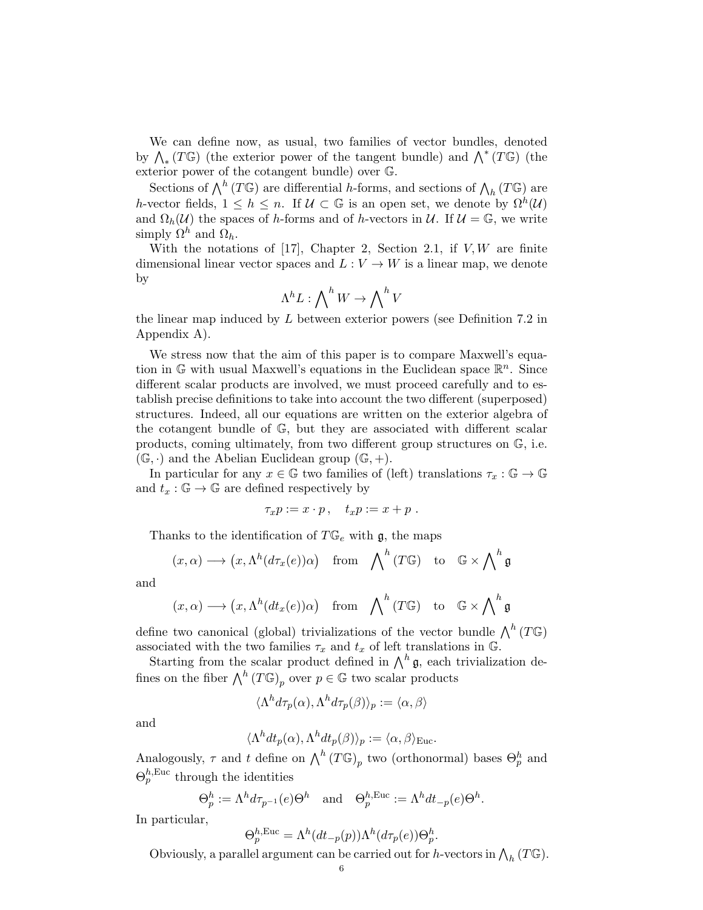We can define now, as usual, two families of vector bundles, denoted by  $\bigwedge_*(T\mathbb{G})$  (the exterior power of the tangent bundle) and  $\bigwedge^*(T\mathbb{G})$  (the exterior power of the cotangent bundle) over G.

Sections of  $\bigwedge^h(T\mathbb{G})$  are differential h-forms, and sections of  $\bigwedge_h(T\mathbb{G})$  are h-vector fields,  $1 \leq h \leq n$ . If  $\mathcal{U} \subset \mathbb{G}$  is an open set, we denote by  $\Omega^h(\mathcal{U})$ and  $\Omega_h(\mathcal{U})$  the spaces of h-forms and of h-vectors in  $\mathcal{U}$ . If  $\mathcal{U} = \mathbb{G}$ , we write simply  $\Omega^h$  and  $\Omega_h$ .

With the notations of [17], Chapter 2, Section 2.1, if  $V, W$  are finite dimensional linear vector spaces and  $L: V \to W$  is a linear map, we denote by

$$
\Lambda^h L: \bigwedge\nolimits^h W \to \bigwedge\nolimits^h V
$$

the linear map induced by  $L$  between exterior powers (see Definition 7.2 in Appendix A).

We stress now that the aim of this paper is to compare Maxwell's equation in  $\mathbb{G}$  with usual Maxwell's equations in the Euclidean space  $\mathbb{R}^n$ . Since different scalar products are involved, we must proceed carefully and to establish precise definitions to take into account the two different (superposed) structures. Indeed, all our equations are written on the exterior algebra of the cotangent bundle of G, but they are associated with different scalar products, coming ultimately, from two different group structures on G, i.e.  $(\mathbb{G}, \cdot)$  and the Abelian Euclidean group  $(\mathbb{G}, +)$ .

In particular for any  $x \in \mathbb{G}$  two families of (left) translations  $\tau_x : \mathbb{G} \to \mathbb{G}$ and  $t_x : \mathbb{G} \to \mathbb{G}$  are defined respectively by

$$
\tau_x p := x \cdot p \,, \quad t_x p := x + p \,.
$$

Thanks to the identification of  $T\mathbb{G}_e$  with  $\mathfrak{g}$ , the maps

$$
(x, \alpha) \longrightarrow (x, \Lambda^h(d\tau_x(e))\alpha)
$$
 from  $\bigwedge^h(T\mathbb{G})$  to  $\mathbb{G} \times \bigwedge^h \mathfrak{g}$ 

and

$$
(x, \alpha) \longrightarrow (x, \Lambda^h(dt_x(e))\alpha)
$$
 from  $\bigwedge^h(T\mathbb{G})$  to  $\mathbb{G} \times \bigwedge^h \mathfrak{g}$ 

define two canonical (global) trivializations of the vector bundle  $\bigwedge^h(T\mathbb{G})$ associated with the two families  $\tau_x$  and  $t_x$  of left translations in G.

Starting from the scalar product defined in  $\bigwedge^h \mathfrak{g}$ , each trivialization defines on the fiber  $\bigwedge^h(T\mathbb{G})_p$  over  $p \in \mathbb{G}$  two scalar products

$$
\langle \Lambda^h d\tau_p(\alpha), \Lambda^h d\tau_p(\beta) \rangle_p := \langle \alpha, \beta \rangle
$$

and

$$
\langle \Lambda^h dt_p(\alpha), \Lambda^h dt_p(\beta) \rangle_p := \langle \alpha, \beta \rangle_{\text{Euc}}.
$$

Analogously,  $\tau$  and t define on  $\bigwedge^h(T\mathbb{G})_p$  two (orthonormal) bases  $\Theta_p^h$  and  $\Theta_p^{h,\text{Euc}}$  through the identities

$$
\Theta_p^h := \Lambda^h d\tau_{p^{-1}}(e) \Theta^h
$$
 and  $\Theta_p^{h,\text{Euc}} := \Lambda^h dt_{-p}(e) \Theta^h$ .

In particular,

$$
\Theta_p^{h,\text{Euc}} = \Lambda^h(dt_{-p}(p))\Lambda^h(d\tau_p(e))\Theta_p^h.
$$

Obviously, a parallel argument can be carried out for h-vectors in  $\bigwedge_h(T\mathbb{G})$ .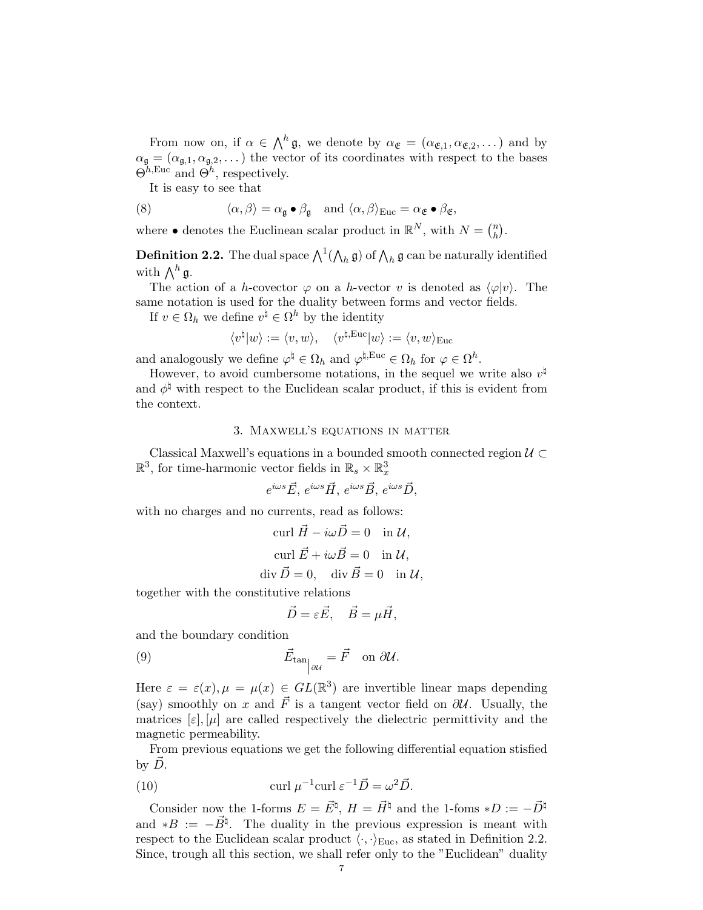From now on, if  $\alpha \in \Lambda^h \mathfrak{g}$ , we denote by  $\alpha_{\mathfrak{E}} = (\alpha_{\mathfrak{E},1}, \alpha_{\mathfrak{E},2}, \dots)$  and by  $\alpha_{\mathfrak{g}} = (\alpha_{\mathfrak{g},1}, \alpha_{\mathfrak{g},2}, \dots)$  the vector of its coordinates with respect to the bases  $\Theta^{h,\text{Euc}}$  and  $\Theta^h$ , respectively.

It is easy to see that

(8) 
$$
\langle \alpha, \beta \rangle = \alpha_{\mathfrak{g}} \bullet \beta_{\mathfrak{g}} \quad \text{and } \langle \alpha, \beta \rangle_{\text{Euc}} = \alpha_{\mathfrak{E}} \bullet \beta_{\mathfrak{E}},
$$

where  $\bullet$  denotes the Euclinean scalar product in  $\mathbb{R}^N$ , with  $N = \binom{n}{k}$  $\binom{n}{h}$ .

**Definition 2.2.** The dual space  $\bigwedge^1(\bigwedge_h\mathfrak{g})$  of  $\bigwedge_h\mathfrak{g}$  can be naturally identified with  $\bigwedge^h \mathfrak{g}.$ 

The action of a h-covector  $\varphi$  on a h-vector v is denoted as  $\langle \varphi | v \rangle$ . The same notation is used for the duality between forms and vector fields.

If  $v \in \Omega_h$  we define  $v^{\natural} \in \Omega^h$  by the identity

$$
\langle v^{\natural}|w\rangle:=\langle v,w\rangle,\quad \langle v^{\natural,\text{Euc}}|w\rangle:=\langle v,w\rangle_{\text{Euc}}
$$

and analogously we define  $\varphi^{\natural} \in \Omega_h$  and  $\varphi^{\natural, \text{Euc}} \in \Omega_h$  for  $\varphi \in \Omega^h$ .

However, to avoid cumbersome notations, in the sequel we write also  $v^{\natural}$ and  $\phi^{\natural}$  with respect to the Euclidean scalar product, if this is evident from the context.

### 3. Maxwell's equations in matter

Classical Maxwell's equations in a bounded smooth connected region  $\mathcal{U} \subset$  $\mathbb{R}^3$ , for time-harmonic vector fields in  $\mathbb{R}_s \times \mathbb{R}^3_x$ 

$$
e^{i\omega s}\vec{E}
$$
,  $e^{i\omega s}\vec{H}$ ,  $e^{i\omega s}\vec{B}$ ,  $e^{i\omega s}\vec{D}$ ,

e with no charges and no currents, read as follows:

curl 
$$
\vec{H} - i\omega \vec{D} = 0
$$
 in  $\mathcal{U}$ ,  
\ncurl  $\vec{E} + i\omega \vec{B} = 0$  in  $\mathcal{U}$ ,  
\ndiv  $\vec{D} = 0$ , div  $\vec{B} = 0$  in  $\mathcal{U}$ ,

together with the constitutive relations

$$
\vec{D} = \varepsilon \vec{E}, \quad \vec{B} = \mu \vec{H},
$$

and the boundary condition

(9) 
$$
\vec{E}_{\tan} = \vec{F} \quad \text{on } \partial \mathcal{U}.
$$

Here  $\varepsilon = \varepsilon(x), \mu = \mu(x) \in GL(\mathbb{R}^3)$  are invertible linear maps depending (say) smoothly on x and  $\vec{F}$  is a tangent vector field on  $\partial U$ . Usually, the matrices  $[\varepsilon], [\mu]$  are called respectively the dielectric permittivity and the magnetic permeability.

From previous equations we get the following differential equation stisfied by  $D$ .

(10) 
$$
\operatorname{curl} \mu^{-1} \operatorname{curl} \varepsilon^{-1} \vec{D} = \omega^2 \vec{D}.
$$

Consider now the 1-forms  $E = \vec{E}^{\sharp}, H = \vec{H}^{\sharp}$  and the 1-foms  $*D := -\vec{D}^{\sharp}$ and \*B :=  $-\vec{B}^{\natural}$ . The duality in the previous expression is meant with respect to the Euclidean scalar product  $\langle \cdot, \cdot \rangle_{\text{Euc}}$ , as stated in Definition 2.2. Since, trough all this section, we shall refer only to the "Euclidean" duality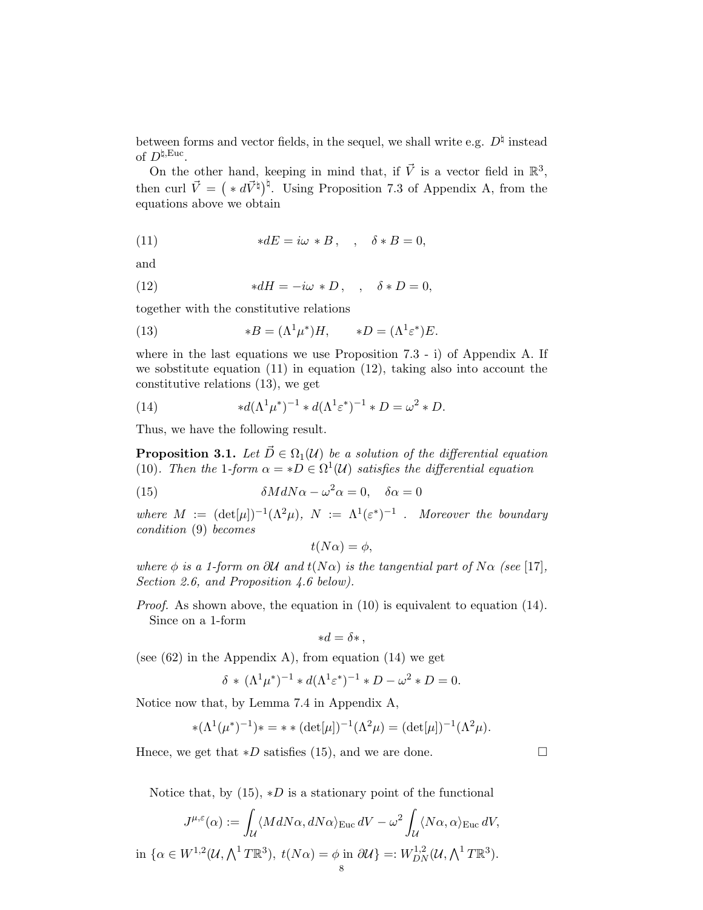between forms and vector fields, in the sequel, we shall write e.g.  $D^{\natural}$  instead of  $D^{\natural,\text{Euc}}$ .

On the other hand, keeping in mind that, if  $\vec{V}$  is a vector field in  $\mathbb{R}^3$ , then curl  $\vec{V} = ( *d\vec{V}^{\dagger})^{\dagger}$ . Using Proposition 7.3 of Appendix A, from the equations above we obtain

(11) 
$$
*dE = i\omega * B, \quad , \quad \delta * B = 0,
$$

and

(12) 
$$
*dH = -i\omega * D, \quad , \quad \delta * D = 0,
$$

together with the constitutive relations

(13) 
$$
*B = (\Lambda^1 \mu^*)H, \qquad *D = (\Lambda^1 \varepsilon^*)E.
$$

where in the last equations we use Proposition 7.3 - i) of Appendix A. If we sobstitute equation  $(11)$  in equation  $(12)$ , taking also into account the constitutive relations (13), we get

(14) 
$$
*d(\Lambda^1 \mu^*)^{-1} * d(\Lambda^1 \varepsilon^*)^{-1} * D = \omega^2 * D.
$$

Thus, we have the following result.

**Proposition 3.1.** Let  $\vec{D} \in \Omega_1(\mathcal{U})$  be a solution of the differential equation (10). Then the 1-form  $\alpha = *D \in \Omega^1(\mathcal{U})$  satisfies the differential equation

(15) 
$$
\delta M dN \alpha - \omega^2 \alpha = 0, \quad \delta \alpha = 0
$$

where  $M := (\det[\mu])^{-1}(\Lambda^2 \mu), \ N := \Lambda^1(\varepsilon^*)^{-1}$ . Moreover the boundary condition (9) becomes

$$
t(N\alpha) = \phi,
$$

where  $\phi$  is a 1-form on  $\partial U$  and  $t(N\alpha)$  is the tangential part of  $N\alpha$  (see [17], Section 2.6, and Proposition 4.6 below).

Proof. As shown above, the equation in (10) is equivalent to equation (14). Since on a 1-form

$$
*d = \delta * ,
$$

(see  $(62)$  in the Appendix A), from equation  $(14)$  we get

$$
\delta * (\Lambda^1 \mu^*)^{-1} * d(\Lambda^1 \varepsilon^*)^{-1} * D - \omega^2 * D = 0.
$$

Notice now that, by Lemma 7.4 in Appendix A,

$$
*(\Lambda^1(\mu^*)^{-1}) * = * * (\det[\mu])^{-1}(\Lambda^2 \mu) = (\det[\mu])^{-1}(\Lambda^2 \mu).
$$

Hnece, we get that  $*D$  satisfies (15), and we are done.  $\Box$ 

Notice that, by  $(15)$ ,  $*D$  is a stationary point of the functional

$$
J^{\mu,\varepsilon}(\alpha) := \int_{\mathcal{U}} \langle M dN\alpha, dN\alpha \rangle_{\text{Euc}} dV - \omega^2 \int_{\mathcal{U}} \langle N\alpha, \alpha \rangle_{\text{Euc}} dV,
$$
  
in  $\{\alpha \in W^{1,2}(\mathcal{U}, \bigwedge^1 T \mathbb{R}^3), t(N\alpha) = \phi \text{ in } \partial \mathcal{U}\} =: W^{1,2}_{DN}(\mathcal{U}, \bigwedge^1 T \mathbb{R}^3).$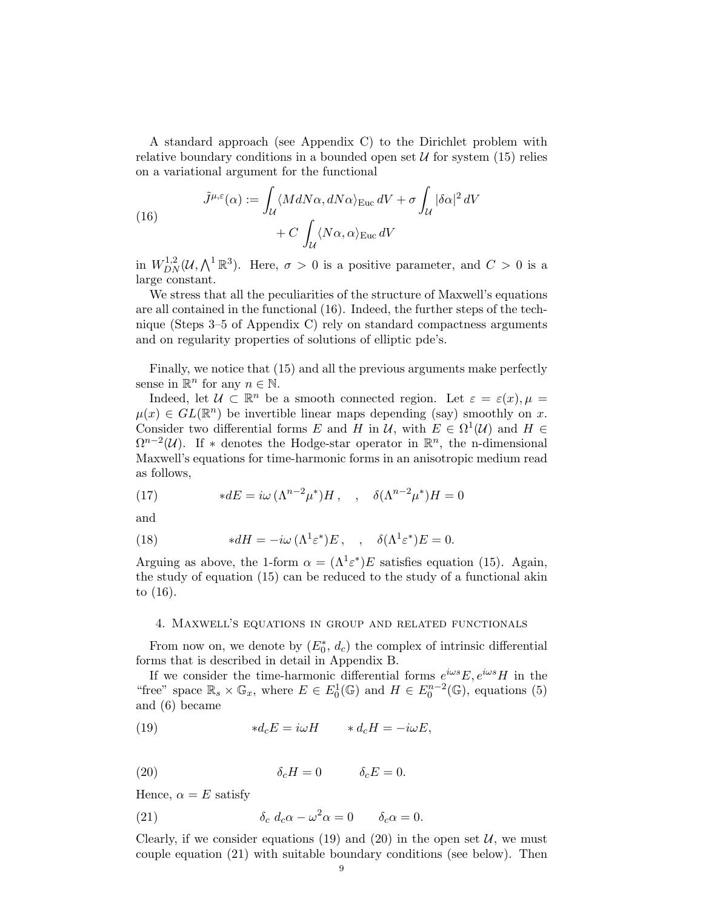A standard approach (see Appendix C) to the Dirichlet problem with relative boundary conditions in a bounded open set  $\mathcal U$  for system (15) relies on a variational argument for the functional

(16)  
\n
$$
\tilde{J}^{\mu,\varepsilon}(\alpha) := \int_{\mathcal{U}} \langle M dN\alpha, dN\alpha \rangle_{\text{Euc}} dV + \sigma \int_{\mathcal{U}} |\delta\alpha|^2 dV + C \int_{\mathcal{U}} \langle N\alpha, \alpha \rangle_{\text{Euc}} dV
$$

in  $W_{DN}^{1,2}(\mathcal{U},\bigwedge^1 \mathbb{R}^3)$ . Here,  $\sigma > 0$  is a positive parameter, and  $C > 0$  is a large constant.

We stress that all the peculiarities of the structure of Maxwell's equations are all contained in the functional (16). Indeed, the further steps of the technique (Steps 3–5 of Appendix C) rely on standard compactness arguments and on regularity properties of solutions of elliptic pde's.

Finally, we notice that (15) and all the previous arguments make perfectly sense in  $\mathbb{R}^n$  for any  $n \in \mathbb{N}$ .

Indeed, let  $\mathcal{U} \subset \mathbb{R}^n$  be a smooth connected region. Let  $\varepsilon = \varepsilon(x)$ ,  $\mu =$  $\mu(x) \in GL(\mathbb{R}^n)$  be invertible linear maps depending (say) smoothly on x. Consider two differential forms E and H in U, with  $E \in \Omega^1(\mathcal{U})$  and  $H \in$  $\Omega^{n-2}(\mathcal{U})$ . If \* denotes the Hodge-star operator in  $\mathbb{R}^n$ , the n-dimensional Maxwell's equations for time-harmonic forms in an anisotropic medium read as follows,

(17) 
$$
*dE = i\omega (\Lambda^{n-2}\mu^*)H, \quad , \quad \delta(\Lambda^{n-2}\mu^*)H = 0
$$

and

(18) 
$$
* dH = -i\omega \left(\Lambda^1 \varepsilon^* \right) E, \quad , \quad \delta(\Lambda^1 \varepsilon^*) E = 0.
$$

Arguing as above, the 1-form  $\alpha = (\Lambda^1 \varepsilon^*) E$  satisfies equation (15). Again, the study of equation (15) can be reduced to the study of a functional akin to (16).

#### 4. Maxwell's equations in group and related functionals

From now on, we denote by  $(E_0^*, d_c)$  the complex of intrinsic differential forms that is described in detail in Appendix B.

If we consider the time-harmonic differential forms  $e^{i\omega s}E, e^{i\omega s}H$  in the "free" space  $\mathbb{R}_s \times \mathbb{G}_x$ , where  $E \in E_0^1(\mathbb{G})$  and  $H \in E_0^{n-2}(\mathbb{G})$ , equations (5) and (6) became

(19) 
$$
*d_c E = i\omega H \qquad *d_c H = -i\omega E,
$$

(20) 
$$
\delta_c H = 0 \qquad \delta_c E = 0.
$$

Hence,  $\alpha = E$  satisfy

(21) 
$$
\delta_c d_c \alpha - \omega^2 \alpha = 0 \qquad \delta_c \alpha = 0.
$$

Clearly, if we consider equations (19) and (20) in the open set  $\mathcal{U}$ , we must couple equation (21) with suitable boundary conditions (see below). Then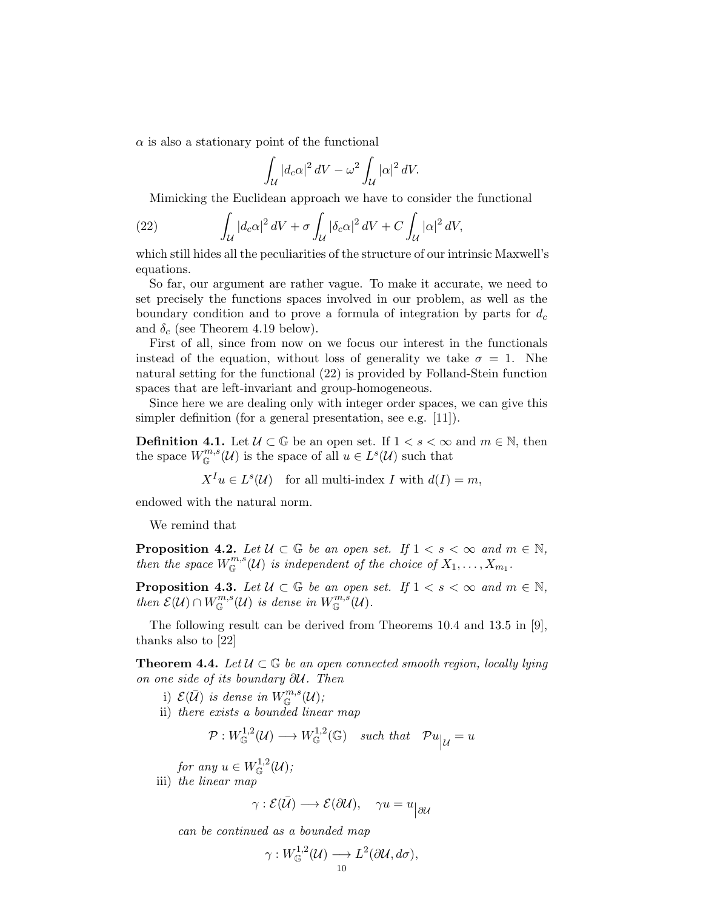$\alpha$  is also a stationary point of the functional

$$
\int_{\mathcal{U}} |d_c \alpha|^2 \, dV - \omega^2 \int_{\mathcal{U}} |\alpha|^2 \, dV.
$$

Mimicking the Euclidean approach we have to consider the functional

(22) 
$$
\int_{\mathcal{U}} |d_c \alpha|^2 dV + \sigma \int_{\mathcal{U}} |\delta_c \alpha|^2 dV + C \int_{\mathcal{U}} |\alpha|^2 dV,
$$

which still hides all the peculiarities of the structure of our intrinsic Maxwell's equations.

So far, our argument are rather vague. To make it accurate, we need to set precisely the functions spaces involved in our problem, as well as the boundary condition and to prove a formula of integration by parts for  $d_c$ and  $\delta_c$  (see Theorem 4.19 below).

First of all, since from now on we focus our interest in the functionals instead of the equation, without loss of generality we take  $\sigma = 1$ . Nhe natural setting for the functional (22) is provided by Folland-Stein function spaces that are left-invariant and group-homogeneous.

Since here we are dealing only with integer order spaces, we can give this simpler definition (for a general presentation, see e.g. [11]).

**Definition 4.1.** Let  $\mathcal{U} \subset \mathbb{G}$  be an open set. If  $1 < s < \infty$  and  $m \in \mathbb{N}$ , then the space  $W^{m,s}_{\mathbb{G}}(\mathcal{U})$  is the space of all  $u \in L^s(\mathcal{U})$  such that

 $X^I u \in L^s(\mathcal{U})$  for all multi-index I with  $d(I) = m$ ,

endowed with the natural norm.

We remind that

**Proposition 4.2.** Let  $\mathcal{U} \subset \mathbb{G}$  be an open set. If  $1 < s < \infty$  and  $m \in \mathbb{N}$ , then the space  $W^{m,s}_{\mathbb{G}}(\mathcal{U})$  is independent of the choice of  $X_1,\ldots,X_{m_1}$ .

**Proposition 4.3.** Let  $\mathcal{U} \subset \mathbb{G}$  be an open set. If  $1 \lt s \lt \infty$  and  $m \in \mathbb{N}$ , then  $\mathcal{E}(\mathcal{U}) \cap W_{\mathbb{G}}^{m,s}(\mathcal{U})$  is dense in  $W_{\mathbb{G}}^{m,s}(\mathcal{U})$ .

The following result can be derived from Theorems 10.4 and 13.5 in [9], thanks also to [22]

**Theorem 4.4.** Let  $\mathcal{U} \subset \mathbb{G}$  be an open connected smooth region, locally lying on one side of its boundary ∂U. Then

- i)  $\mathcal{E}(\bar{\mathcal{U}})$  is dense in  $W^{m,s}_{\mathbb{G}}(\mathcal{U});$
- ii) there exists a bounded linear map

$$
\mathcal{P}: W^{1,2}_{\mathbb{G}}(\mathcal{U}) \longrightarrow W^{1,2}_{\mathbb{G}}(\mathbb{G}) \quad such \; that \quad \mathcal{P}u_{|\mathcal{U}} = u
$$

for any  $u \in W^{1,2}_\mathbb{G}(\mathcal{U});$ 

iii) the linear map

$$
\gamma : \mathcal{E}(\bar{\mathcal{U}}) \longrightarrow \mathcal{E}(\partial \mathcal{U}), \quad \gamma u = u_{\big|\partial \mathcal{U}}
$$

can be continued as a bounded map

$$
\gamma: W^{1,2}_{\mathbb{G}}(\mathcal{U}) \longrightarrow L^2(\partial \mathcal{U}, d\sigma),
$$
  
10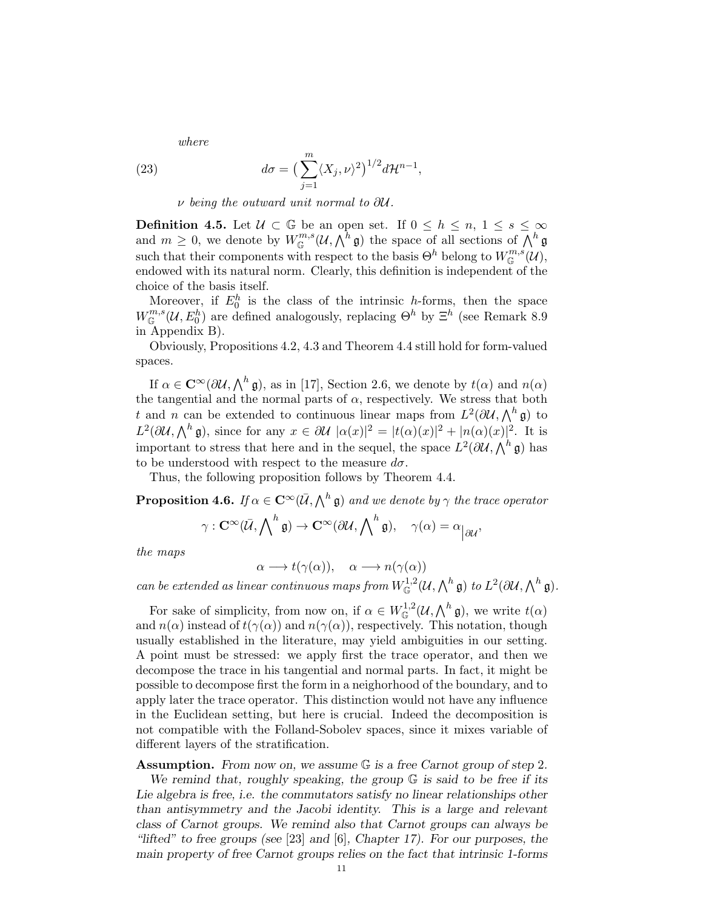where

(23) 
$$
d\sigma = \left(\sum_{j=1}^{m} \langle X_j, \nu \rangle^2\right)^{1/2} d\mathcal{H}^{n-1},
$$

ν being the outward unit normal to ∂U.

**Definition 4.5.** Let  $\mathcal{U} \subset \mathbb{G}$  be an open set. If  $0 \leq h \leq n, 1 \leq s \leq \infty$ and  $m \geq 0$ , we denote by  $W^{m,s}_{\mathbb{G}}(\mathcal{U}, \bigwedge^{\bar{h}} \mathfrak{g})$  the space of all sections of  $\bigwedge^h \mathfrak{g}$ such that their components with respect to the basis  $\Theta^h$  belong to  $W^{m,s}_{\mathbb{G}}(\mathcal{U}),$ endowed with its natural norm. Clearly, this definition is independent of the choice of the basis itself.

Moreover, if  $E_0^h$  is the class of the intrinsic h-forms, then the space  $W_{\mathbb{G}}^{m,s}(\mathcal{U},E_0^h)$  are defined analogously, replacing  $\Theta^h$  by  $\Xi^h$  (see Remark 8.9) in Appendix B).

Obviously, Propositions 4.2, 4.3 and Theorem 4.4 still hold for form-valued spaces.

If  $\alpha \in \mathbb{C}^{\infty}(\partial \mathcal{U}, \Lambda^h \mathfrak{g})$ , as in [17], Section 2.6, we denote by  $t(\alpha)$  and  $n(\alpha)$ the tangential and the normal parts of  $\alpha$ , respectively. We stress that both t and n can be extended to continuous linear maps from  $L^2(\partial \mathcal{U}, \bigwedge^h \mathfrak{g})$  to  $L^2(\partial \mathcal{U}, \bigwedge^h \mathfrak{g})$ , since for any  $x \in \partial \mathcal{U} \, |\alpha(x)|^2 = |t(\alpha)(x)|^2 + |n(\alpha)(x)|^2$ . It is important to stress that here and in the sequel, the space  $L^2(\partial \mathcal{U}, \bigwedge^h \mathfrak{g})$  has to be understood with respect to the measure  $d\sigma$ .

Thus, the following proposition follows by Theorem 4.4.

**Proposition 4.6.** If  $\alpha \in \mathbf{C}^{\infty}(\bar{\mathcal{U}}, \bigwedge^h \mathfrak{g})$  and we denote by  $\gamma$  the trace operator

$$
\gamma : \mathbf{C}^{\infty}(\bar{\mathcal{U}}, \bigwedge\nolimits^{h} \mathfrak{g}) \to \mathbf{C}^{\infty}(\partial \mathcal{U}, \bigwedge\nolimits^{h} \mathfrak{g}), \quad \gamma(\alpha) = \alpha_{\big|\partial \mathcal{U}},
$$

the maps

$$
\alpha \longrightarrow t(\gamma(\alpha)), \quad \alpha \longrightarrow n(\gamma(\alpha))
$$

can be extended as linear continuous maps from  $W^{1,2}_{\mathbb{G}}(\mathcal{U},\bigwedge^h \mathfrak{g})$  to  $L^2(\partial \mathcal{U},\bigwedge^h \mathfrak{g})$ .

For sake of simplicity, from now on, if  $\alpha \in W^{1,2}_{\mathbb{G}}(\mathcal{U},\bigwedge^h \mathfrak{g})$ , we write  $t(\alpha)$ and  $n(\alpha)$  instead of  $t(\gamma(\alpha))$  and  $n(\gamma(\alpha))$ , respectively. This notation, though usually established in the literature, may yield ambiguities in our setting. A point must be stressed: we apply first the trace operator, and then we decompose the trace in his tangential and normal parts. In fact, it might be possible to decompose first the form in a neighorhood of the boundary, and to apply later the trace operator. This distinction would not have any influence in the Euclidean setting, but here is crucial. Indeed the decomposition is not compatible with the Folland-Sobolev spaces, since it mixes variable of different layers of the stratification.

Assumption. From now on, we assume  $G$  is a free Carnot group of step 2. We remind that, roughly speaking, the group  $G$  is said to be free if its Lie algebra is free, i.e. the commutators satisfy no linear relationships other than antisymmetry and the Jacobi identity. This is a large and relevant class of Carnot groups. We remind also that Carnot groups can always be "lifted" to free groups (see [23] and  $[6]$ , Chapter 17). For our purposes, the main property of free Carnot groups relies on the fact that intrinsic 1-forms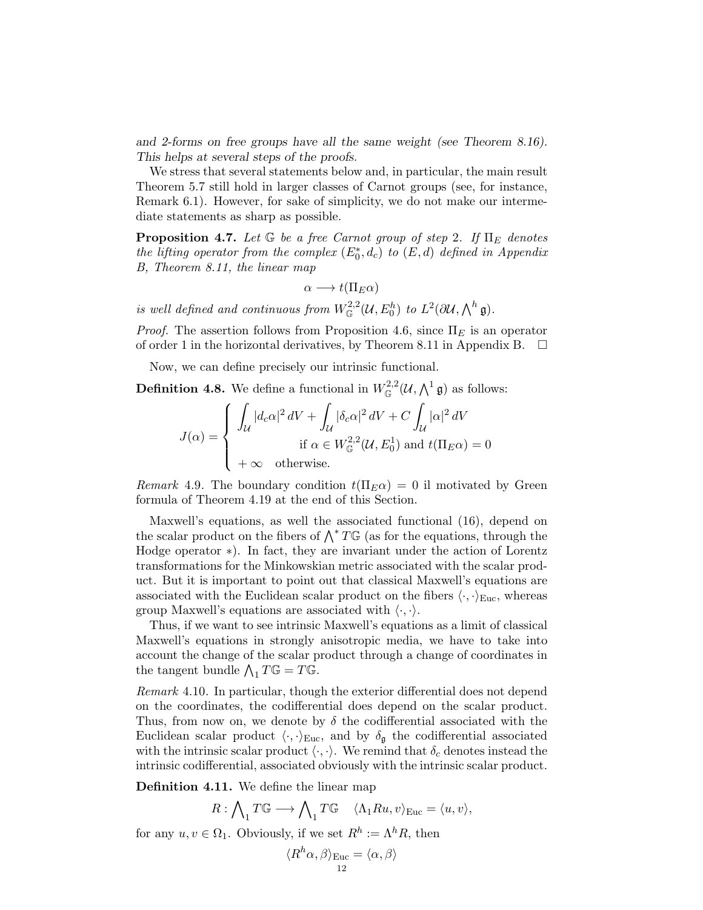and 2-forms on free groups have all the same weight (see Theorem 8.16). This helps at several steps of the proofs.

We stress that several statements below and, in particular, the main result Theorem 5.7 still hold in larger classes of Carnot groups (see, for instance, Remark 6.1). However, for sake of simplicity, we do not make our intermediate statements as sharp as possible.

**Proposition 4.7.** Let  $\mathbb{G}$  be a free Carnot group of step 2. If  $\Pi_E$  denotes the lifting operator from the complex  $(E_0^*, d_c)$  to  $(E, d)$  defined in Appendix B, Theorem 8.11, the linear map

$$
\alpha \longrightarrow t(\Pi_E \alpha)
$$

is well defined and continuous from  $W^{2,2}_{\mathbb{G}}(\mathcal{U},E^h_0)$  to  $L^2(\partial \mathcal{U},\bigwedge^h \mathfrak{g}).$ 

*Proof.* The assertion follows from Proposition 4.6, since  $\Pi_E$  is an operator of order 1 in the horizontal derivatives, by Theorem 8.11 in Appendix B.  $\Box$ 

Now, we can define precisely our intrinsic functional.

**Definition 4.8.** We define a functional in  $W^{2,2}_\mathbb{G}(\mathcal{U},\bigwedge^1 \mathfrak{g})$  as follows:

$$
J(\alpha) = \begin{cases} \int_{\mathcal{U}} |d_c \alpha|^2 \, dV + \int_{\mathcal{U}} |\delta_c \alpha|^2 \, dV + C \int_{\mathcal{U}} |\alpha|^2 \, dV \\ \text{if } \alpha \in W_{\mathbb{G}}^{2,2}(\mathcal{U}, E_0^1) \text{ and } t(\Pi_E \alpha) = 0 \\ +\infty \quad \text{otherwise.} \end{cases}
$$

Remark 4.9. The boundary condition  $t(\Pi_E \alpha) = 0$  il motivated by Green formula of Theorem 4.19 at the end of this Section.

Maxwell's equations, as well the associated functional (16), depend on the scalar product on the fibers of  $\bigwedge^* T\mathbb{G}$  (as for the equations, through the Hodge operator ∗). In fact, they are invariant under the action of Lorentz transformations for the Minkowskian metric associated with the scalar product. But it is important to point out that classical Maxwell's equations are associated with the Euclidean scalar product on the fibers  $\langle \cdot, \cdot \rangle_{\text{Euc}}$ , whereas group Maxwell's equations are associated with  $\langle \cdot, \cdot \rangle$ .

Thus, if we want to see intrinsic Maxwell's equations as a limit of classical Maxwell's equations in strongly anisotropic media, we have to take into account the change of the scalar product through a change of coordinates in the tangent bundle  $\bigwedge_1 T \mathbb{G} = T \mathbb{G}$ .

Remark 4.10. In particular, though the exterior differential does not depend on the coordinates, the codifferential does depend on the scalar product. Thus, from now on, we denote by  $\delta$  the codifferential associated with the Euclidean scalar product  $\langle \cdot, \cdot \rangle_{\text{Euc}}$ , and by  $\delta_{\mathfrak{g}}$  the codifferential associated with the intrinsic scalar product  $\langle \cdot, \cdot \rangle$ . We remind that  $\delta_c$  denotes instead the intrinsic codifferential, associated obviously with the intrinsic scalar product.

Definition 4.11. We define the linear map

$$
R: \bigwedge_{1} T\mathbb{G} \longrightarrow \bigwedge_{1} T\mathbb{G} \quad \langle \Lambda_{1} Ru, v \rangle_{\text{Euc}} = \langle u, v \rangle,
$$

for any  $u, v \in \Omega_1$ . Obviously, if we set  $R^h := \Lambda^h R$ , then

$$
\langle R^h\alpha, \beta \rangle_{\text{Euc}} = \langle \alpha, \beta \rangle
$$
<sup>12</sup>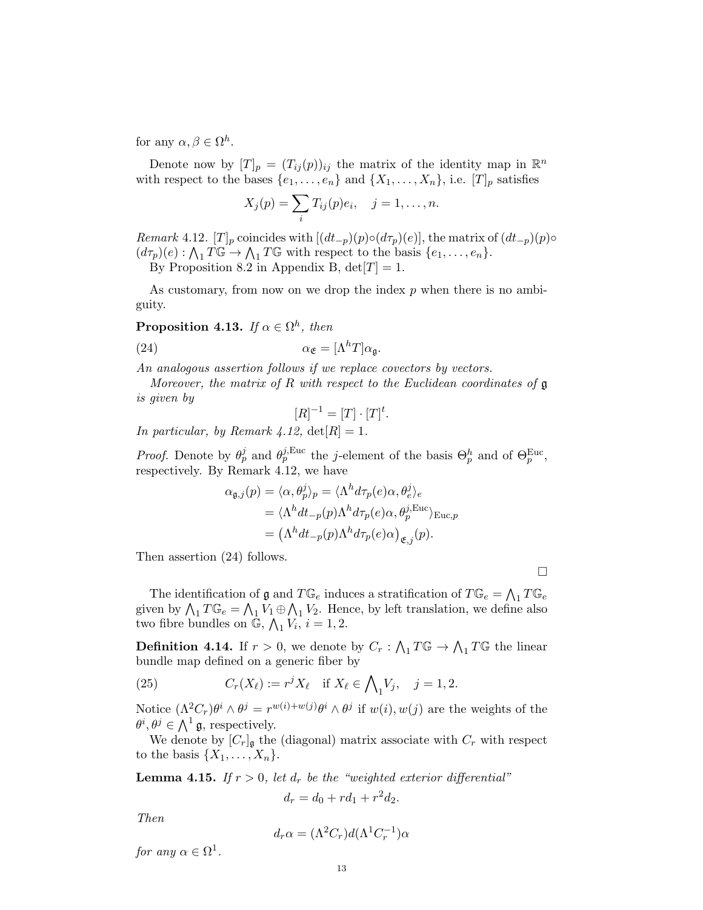for any  $\alpha, \beta \in \Omega^h$ .

Denote now by  $[T]_p = (T_{ij}(p))_{ij}$  the matrix of the identity map in  $\mathbb{R}^n$ with respect to the bases  $\{e_1, \ldots, e_n\}$  and  $\{X_1, \ldots, X_n\}$ , i.e.  $[T]_p$  satisfies

$$
X_j(p) = \sum_i T_{ij}(p)e_i, \quad j = 1, \ldots, n.
$$

Remark 4.12.  $[T]_p$  coincides with  $[(dt_{-p})(p) \circ (d\tau_p)(e)]$ , the matrix of  $(dt_{-p})(p) \circ$  $(d\tau_p)(e): \bigwedge_1 T\mathbb{G} \to \bigwedge_1 T\mathbb{G}$  with respect to the basis  $\{e_1, \ldots, e_n\}.$ 

By Proposition 8.2 in Appendix B,  $det[T] = 1$ .

As customary, from now on we drop the index  $p$  when there is no ambiguity.

**Proposition 4.13.** If  $\alpha \in \Omega^h$ , then

(24) 
$$
\alpha_{\mathfrak{E}} = [\Lambda^h T] \alpha_{\mathfrak{g}}.
$$

An analogous assertion follows if we replace covectors by vectors.

Moreover, the matrix of R with respect to the Euclidean coordinates of  $\mathfrak g$ is given by

$$
[R]^{-1} = [T] \cdot [T]^t.
$$

In particular, by Remark 4.12,  $det[R] = 1$ .

*Proof.* Denote by  $\theta_p^j$  and  $\theta_p^{j,\text{Euc}}$  the j-element of the basis  $\Theta_p^h$  and of  $\Theta_p^{\text{Euc}}$ , respectively. By Remark 4.12, we have

$$
\alpha_{\mathfrak{g},j}(p) = \langle \alpha, \theta_p^j \rangle_p = \langle \Lambda^h d\tau_p(e) \alpha, \theta_e^j \rangle_e
$$
  
= 
$$
\langle \Lambda^h dt_{-p}(p) \Lambda^h d\tau_p(e) \alpha, \theta_p^{j,\text{Euc}} \rangle_{\text{Euc},p}
$$
  
= 
$$
(\Lambda^h dt_{-p}(p) \Lambda^h d\tau_p(e) \alpha)_{\mathfrak{E},j}(p).
$$

Then assertion (24) follows.

 $\Box$ 

The identification of  $\mathfrak g$  and  $T\mathbb G_e$  induces a stratification of  $T\mathbb G_e=\bigwedge_1T\mathbb G_e$ given by  $\bigwedge_1 T \mathbb{G}_e = \bigwedge_1 V_1 \oplus \bigwedge_1 V_2$ . Hence, by left translation, we define also two fibre bundles on  $\mathbb{G}$ ,  $\bigwedge_{1} V_i$ ,  $i = 1, 2$ .

**Definition 4.14.** If  $r > 0$ , we denote by  $C_r : \bigwedge_1 T \mathbb{G} \to \bigwedge_1 T \mathbb{G}$  the linear bundle map defined on a generic fiber by

(25) 
$$
C_r(X_\ell) := r^j X_\ell \text{ if } X_\ell \in \bigwedge_1 V_j, \quad j = 1, 2.
$$

Notice  $(\Lambda^2 C_r) \theta^i \wedge \theta^j = r^{w(i)+w(j)} \theta^i \wedge \theta^j$  if  $w(i), w(j)$  are the weights of the  $\theta^i, \theta^j \in \bigwedge^1 \mathfrak{g}$ , respectively.

We denote by  $[C_r]_{\mathfrak{g}}$  the (diagonal) matrix associate with  $C_r$  with respect to the basis  $\{X_1, \ldots, X_n\}.$ 

**Lemma 4.15.** If  $r > 0$ , let  $d_r$  be the "weighted exterior differential"  $d_r = d_0 + rd_1 + r^2d_2.$ 

Then

$$
d_r \alpha = (\Lambda^2 C_r) d(\Lambda^1 C_r^{-1}) \alpha
$$

for any  $\alpha \in \Omega^1$ .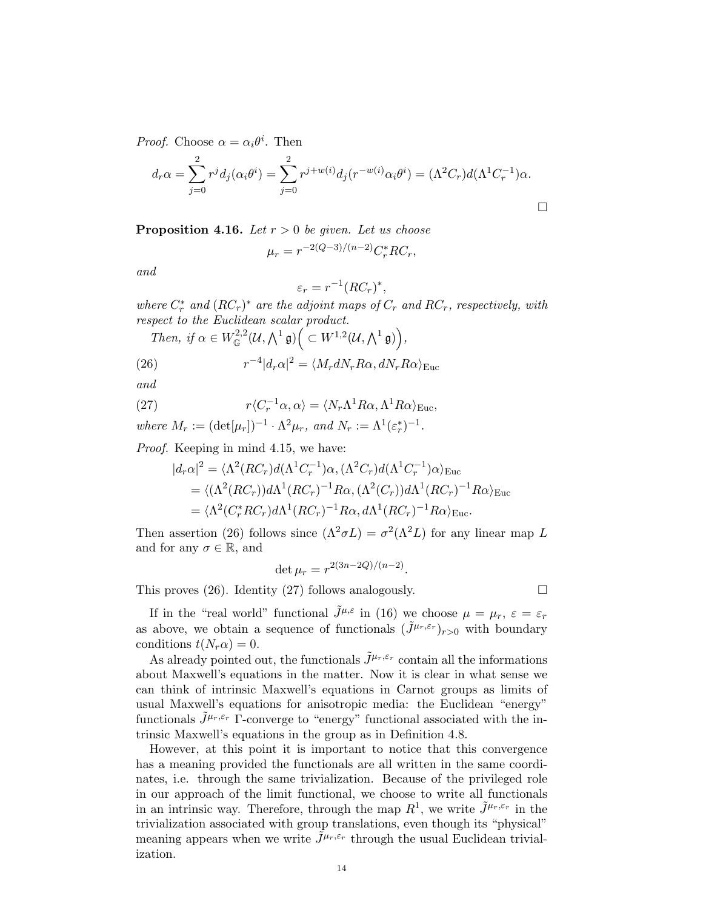*Proof.* Choose  $\alpha = \alpha_i \theta^i$ . Then

$$
d_r \alpha = \sum_{j=0}^2 r^j d_j(\alpha_i \theta^i) = \sum_{j=0}^2 r^{j+w(i)} d_j(r^{-w(i)} \alpha_i \theta^i) = (\Lambda^2 C_r) d(\Lambda^1 C_r^{-1}) \alpha.
$$

**Proposition 4.16.** Let  $r > 0$  be given. Let us choose

$$
\mu_r = r^{-2(Q-3)/(n-2)} C_r^* R C_r,
$$

and

$$
\varepsilon_r = r^{-1} (RC_r)^*,
$$

where  $C_r^*$  and  $(RC_r)^*$  are the adjoint maps of  $C_r$  and  $RC_r$ , respectively, with respect to the Euclidean scalar product.

Then, if 
$$
\alpha \in W^{2,2}_\mathbb{G}(\mathcal{U},\Lambda^1\mathfrak{g})\Big(\subset W^{1,2}(\mathcal{U},\Lambda^1\mathfrak{g})\Big),\,
$$

(26) 
$$
r^{-4}|d_r\alpha|^2 = \langle M_r dN_r R\alpha, dN_r R\alpha \rangle_{\text{Euc}}
$$

and

(27) 
$$
r\langle C_r^{-1}\alpha, \alpha\rangle = \langle N_r \Lambda^1 R \alpha, \Lambda^1 R \alpha\rangle_{\text{Euc}},
$$

where 
$$
M_r := (\det[\mu_r])^{-1} \cdot \Lambda^2 \mu_r
$$
, and  $N_r := \Lambda^1(\varepsilon_r^*)^{-1}$ .

Proof. Keeping in mind 4.15, we have:

$$
|d_r\alpha|^2 = \langle \Lambda^2 (RC_r) d(\Lambda^1 C_r^{-1}) \alpha, (\Lambda^2 C_r) d(\Lambda^1 C_r^{-1}) \alpha \rangle_{\text{Euc}}
$$
  
=  $\langle (\Lambda^2 (RC_r)) d\Lambda^1 (RC_r)^{-1} R\alpha, (\Lambda^2 (C_r)) d\Lambda^1 (RC_r)^{-1} R\alpha \rangle_{\text{Euc}}$   
=  $\langle \Lambda^2 (C_r^* RC_r) d\Lambda^1 (RC_r)^{-1} R\alpha, d\Lambda^1 (RC_r)^{-1} R\alpha \rangle_{\text{Euc}}.$ 

Then assertion (26) follows since  $(\Lambda^2 \sigma L) = \sigma^2(\Lambda^2 L)$  for any linear map L and for any  $\sigma \in \mathbb{R}$ , and

$$
\det \mu_r = r^{2(3n-2Q)/(n-2)}.
$$

This proves (26). Identity (27) follows analogously.  $\square$ 

If in the "real world" functional  $\tilde{J}^{\mu,\varepsilon}$  in (16) we choose  $\mu = \mu_r, \varepsilon = \varepsilon_r$ as above, we obtain a sequence of functionals  $(\tilde{J}^{\mu_r,\varepsilon_r})_{r>0}$  with boundary conditions  $t(N_r\alpha) = 0$ .

As already pointed out, the functionals  $\tilde{J}^{\mu_r,\varepsilon_r}$  contain all the informations about Maxwell's equations in the matter. Now it is clear in what sense we can think of intrinsic Maxwell's equations in Carnot groups as limits of usual Maxwell's equations for anisotropic media: the Euclidean "energy" functionals  $\tilde{J}^{\mu_r,\varepsilon_r}$  Γ-converge to "energy" functional associated with the intrinsic Maxwell's equations in the group as in Definition 4.8.

However, at this point it is important to notice that this convergence has a meaning provided the functionals are all written in the same coordinates, i.e. through the same trivialization. Because of the privileged role in our approach of the limit functional, we choose to write all functionals in an intrinsic way. Therefore, through the map  $R^1$ , we write  $\tilde{J}^{\mu_r,\varepsilon_r}$  in the trivialization associated with group translations, even though its "physical" meaning appears when we write  $J^{\mu_r,\varepsilon_r}$  through the usual Euclidean trivialization.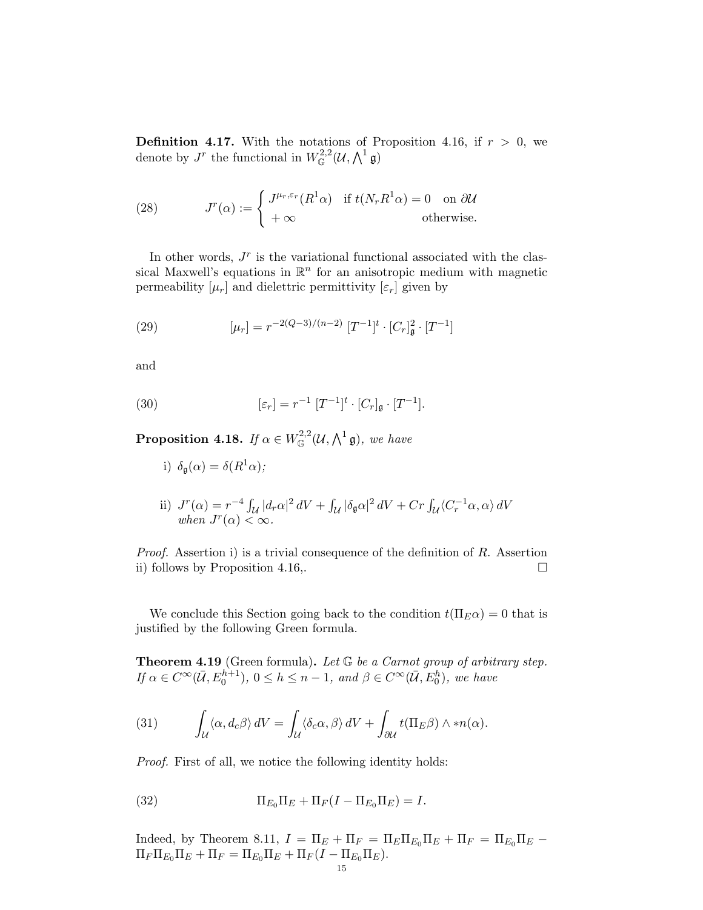**Definition 4.17.** With the notations of Proposition 4.16, if  $r > 0$ , we denote by  $J^r$  the functional in  $W^{2,2}_{\mathbb{G}}(\mathcal{U},\bigwedge^1 \mathfrak{g})$ 

(28) 
$$
J^{r}(\alpha) := \begin{cases} J^{\mu_{r},\varepsilon_{r}}(R^{1}\alpha) & \text{if } t(N_{r}R^{1}\alpha) = 0 \text{ on } \partial\mathcal{U} \\ +\infty & \text{otherwise.} \end{cases}
$$

In other words,  $J<sup>r</sup>$  is the variational functional associated with the classical Maxwell's equations in  $\mathbb{R}^n$  for an anisotropic medium with magnetic permeability  $[\mu_r]$  and dielettric permittivity  $[\varepsilon_r]$  given by

(29) 
$$
[\mu_r] = r^{-2(Q-3)/(n-2)} [T^{-1}]^t \cdot [C_r]_{\mathfrak{g}}^2 \cdot [T^{-1}]
$$

and

(30) 
$$
[\varepsilon_r] = r^{-1} [T^{-1}]^t \cdot [C_r]_{\mathfrak{g}} \cdot [T^{-1}].
$$

**Proposition 4.18.** If  $\alpha \in W^{2,2}_\mathbb{G}(\mathcal{U},\bigwedge^1 \mathfrak{g}),$  we have

- i)  $\delta_{\mathfrak{a}}(\alpha) = \delta(R^1\alpha);$
- ii)  $J^r(\alpha) = r^{-4} \int_{\mathcal{U}} |d_r \alpha|^2 dV + \int_{\mathcal{U}} |\delta_{\mathfrak{g}} \alpha|^2 dV + Cr \int_{\mathcal{U}} \langle C_r^{-1} \alpha, \alpha \rangle dV$ when  $J^r(\alpha) < \infty$ .

*Proof.* Assertion i) is a trivial consequence of the definition of  $R$ . Assertion ii) follows by Proposition 4.16,.

We conclude this Section going back to the condition  $t(\Pi_E \alpha) = 0$  that is justified by the following Green formula.

**Theorem 4.19** (Green formula). Let  $G$  be a Carnot group of arbitrary step. If  $\alpha \in C^{\infty}(\overline{\mathcal{U}}, E_0^{h+1}), 0 \leq h \leq n-1$ , and  $\beta \in C^{\infty}(\overline{\mathcal{U}}, E_0^h)$ , we have

(31) 
$$
\int_{\mathcal{U}} \langle \alpha, d_c \beta \rangle dV = \int_{\mathcal{U}} \langle \delta_c \alpha, \beta \rangle dV + \int_{\partial \mathcal{U}} t(\Pi_E \beta) \wedge *n(\alpha).
$$

Proof. First of all, we notice the following identity holds:

(32) 
$$
\Pi_{E_0} \Pi_E + \Pi_F (I - \Pi_{E_0} \Pi_E) = I.
$$

Indeed, by Theorem 8.11,  $I = \Pi_E + \Pi_F = \Pi_E \Pi_{E_0} \Pi_E + \Pi_F = \Pi_{E_0} \Pi_E$  $\Pi_F \Pi_{E_0} \Pi_E + \Pi_F = \Pi_{E_0} \Pi_E + \Pi_F (I - \Pi_{E_0} \Pi_E).$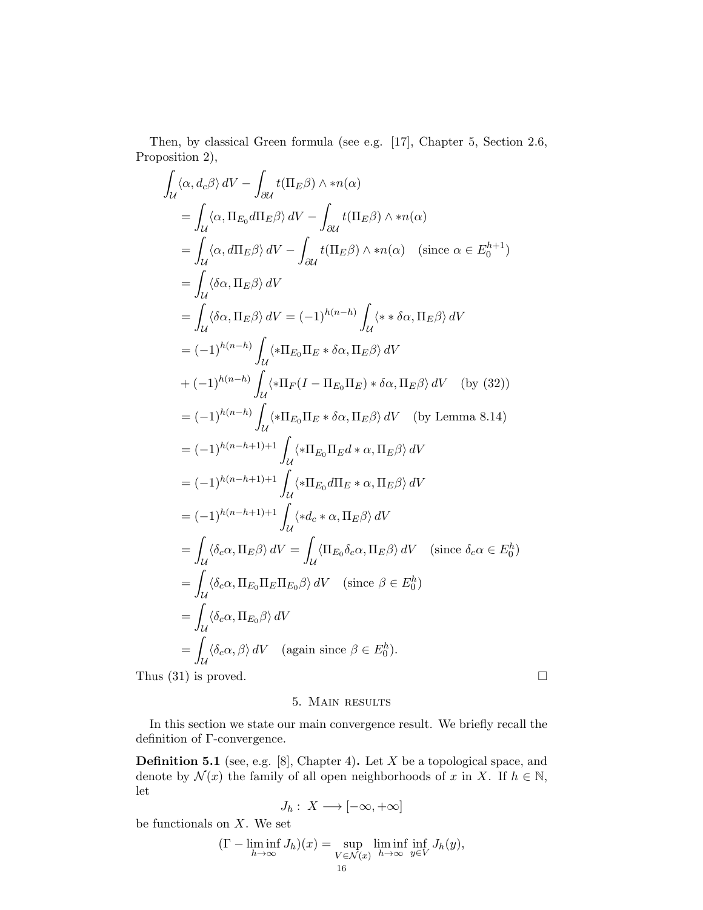Then, by classical Green formula (see e.g. [17], Chapter 5, Section 2.6, Proposition 2),

$$
\int_{\mathcal{U}} \langle \alpha, d_{c}\beta \rangle dV - \int_{\partial \mathcal{U}} t(\Pi_{E}\beta) \wedge *n(\alpha)
$$
\n
$$
= \int_{\mathcal{U}} \langle \alpha, \Pi_{E_{0}} d\Pi_{E}\beta \rangle dV - \int_{\partial \mathcal{U}} t(\Pi_{E}\beta) \wedge *n(\alpha)
$$
\n
$$
= \int_{\mathcal{U}} \langle \alpha, d\Pi_{E}\beta \rangle dV - \int_{\partial \mathcal{U}} t(\Pi_{E}\beta) \wedge *n(\alpha) \quad (\text{since } \alpha \in E_{0}^{h+1})
$$
\n
$$
= \int_{\mathcal{U}} \langle \delta\alpha, \Pi_{E}\beta \rangle dV
$$
\n
$$
= \int_{\mathcal{U}} \langle \delta\alpha, \Pi_{E}\beta \rangle dV = (-1)^{h(n-h)} \int_{\mathcal{U}} \langle * \delta\alpha, \Pi_{E}\beta \rangle dV
$$
\n
$$
= (-1)^{h(n-h)} \int_{\mathcal{U}} \langle * \Pi_{E_{0}} \Pi_{E} * \delta\alpha, \Pi_{E}\beta \rangle dV
$$
\n
$$
+ (-1)^{h(n-h)} \int_{\mathcal{U}} \langle * \Pi_{F}(I - \Pi_{E_{0}} \Pi_{E}) * \delta\alpha, \Pi_{E}\beta \rangle dV \quad (\text{by (32)})
$$
\n
$$
= (-1)^{h(n-h)} \int_{\mathcal{U}} \langle * \Pi_{E_{0}} \Pi_{E} * \delta\alpha, \Pi_{E}\beta \rangle dV \quad (\text{by Lemma 8.14})
$$
\n
$$
= (-1)^{h(n-h+1)+1} \int_{\mathcal{U}} \langle * \Pi_{E_{0}} \Pi_{E}\alpha \cdot \alpha, \Pi_{E}\beta \rangle dV
$$
\n
$$
= (-1)^{h(n-h+1)+1} \int_{\mathcal{U}} \langle * \Pi_{E_{0}} d\Pi_{E} * \alpha, \Pi_{E}\beta \rangle dV
$$
\n
$$
= (-1)^{h(n-h+1)+1} \int_{\mathcal{U}} \langle * \Pi_{E_{0}} d\Pi_{E} * \alpha, \Pi_{E}\beta \rangle dV \quad (\text{since } \delta_{c}\alpha \in E_{0}^{h})
$$
\n
$$
= \int_{\mathcal{U}} \langle \delta_{c}\alpha, \
$$

### 5. Main results

In this section we state our main convergence result. We briefly recall the definition of Γ-convergence.

**Definition 5.1** (see, e.g. [8], Chapter 4). Let  $X$  be a topological space, and denote by  $\mathcal{N}(x)$  the family of all open neighborhoods of x in X. If  $h \in \mathbb{N}$ , let

$$
J_h: X \longrightarrow [-\infty, +\infty]
$$

be functionals on  $X$ . We set

$$
(\Gamma - \liminf_{h \to \infty} J_h)(x) = \sup_{V \in \mathcal{N}(x)} \liminf_{h \to \infty} \inf_{y \in V} J_h(y),
$$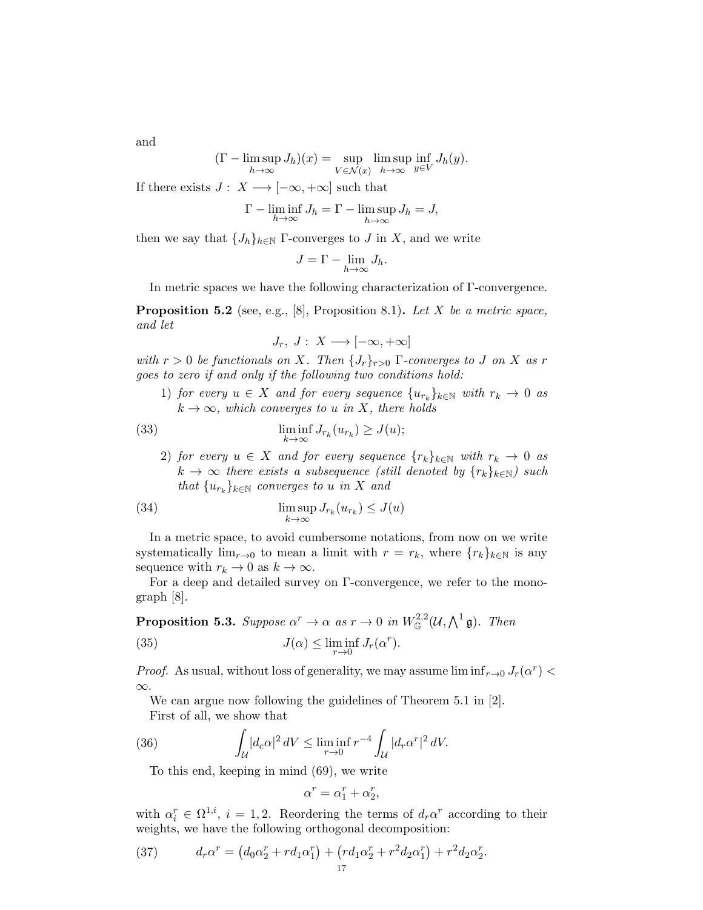and

$$
(\Gamma - \limsup_{h \to \infty} J_h)(x) = \sup_{V \in \mathcal{N}(x)} \limsup_{h \to \infty} \inf_{y \in V} J_h(y).
$$

If there exists  $J: X \longrightarrow [-\infty, +\infty]$  such that

$$
\Gamma - \liminf_{h \to \infty} J_h = \Gamma - \limsup_{h \to \infty} J_h = J,
$$

then we say that  $\{J_h\}_{h\in\mathbb{N}}$  Γ-converges to J in X, and we write

$$
J = \Gamma - \lim_{h \to \infty} J_h.
$$

In metric spaces we have the following characterization of Γ-convergence.

**Proposition 5.2** (see, e.g., [8], Proposition 8.1). Let X be a metric space, and let

$$
J_r, J: X \longrightarrow [-\infty, +\infty]
$$

with  $r > 0$  be functionals on X. Then  $\{J_r\}_{r>0}$   $\Gamma$ -converges to J on X as r goes to zero if and only if the following two conditions hold:

1) for every  $u \in X$  and for every sequence  $\{u_{r_k}\}_{k \in \mathbb{N}}$  with  $r_k \to 0$  as  $k \to \infty$ , which converges to u in X, there holds

(33) 
$$
\liminf_{k \to \infty} J_{r_k}(u_{r_k}) \geq J(u);
$$

2) for every  $u \in X$  and for every sequence  $\{r_k\}_{k \in \mathbb{N}}$  with  $r_k \to 0$  as  $k \to \infty$  there exists a subsequence (still denoted by  $\{r_k\}_{k \in \mathbb{N}}$ ) such that  $\{u_{r_k}\}_{k\in\mathbb{N}}$  converges to u in X and

(34) 
$$
\limsup_{k \to \infty} J_{r_k}(u_{r_k}) \leq J(u)
$$

In a metric space, to avoid cumbersome notations, from now on we write systematically  $\lim_{r\to 0}$  to mean a limit with  $r = r_k$ , where  $\{r_k\}_{k\in\mathbb{N}}$  is any sequence with  $r_k \to 0$  as  $k \to \infty$ .

For a deep and detailed survey on Γ-convergence, we refer to the monograph [8].

**Proposition 5.3.** Suppose  $\alpha^r \to \alpha$  as  $r \to 0$  in  $W^{2,2}_{\mathbb{G}}(\mathcal{U},\bigwedge^1 \mathfrak{g})$ . Then

(35) 
$$
J(\alpha) \leq \liminf_{r \to 0} J_r(\alpha^r).
$$

*Proof.* As usual, without loss of generality, we may assume  $\liminf_{r\to 0} J_r(\alpha^r)$ ∞.

We can argue now following the guidelines of Theorem 5.1 in [2]. First of all, we show that

(36) 
$$
\int_{\mathcal{U}} |d_c \alpha|^2 dV \le \liminf_{r \to 0} r^{-4} \int_{\mathcal{U}} |d_r \alpha^r|^2 dV.
$$

To this end, keeping in mind (69), we write

$$
\alpha^r = \alpha_1^r + \alpha_2^r,
$$

with  $\alpha_i^r \in \Omega^{1,i}, i = 1, 2$ . Reordering the terms of  $d_r \alpha^r$  according to their weights, we have the following orthogonal decomposition:

(37) 
$$
d_r \alpha^r = (d_0 \alpha_2^r + r d_1 \alpha_1^r) + (r d_1 \alpha_2^r + r^2 d_2 \alpha_1^r) + r^2 d_2 \alpha_2^r.
$$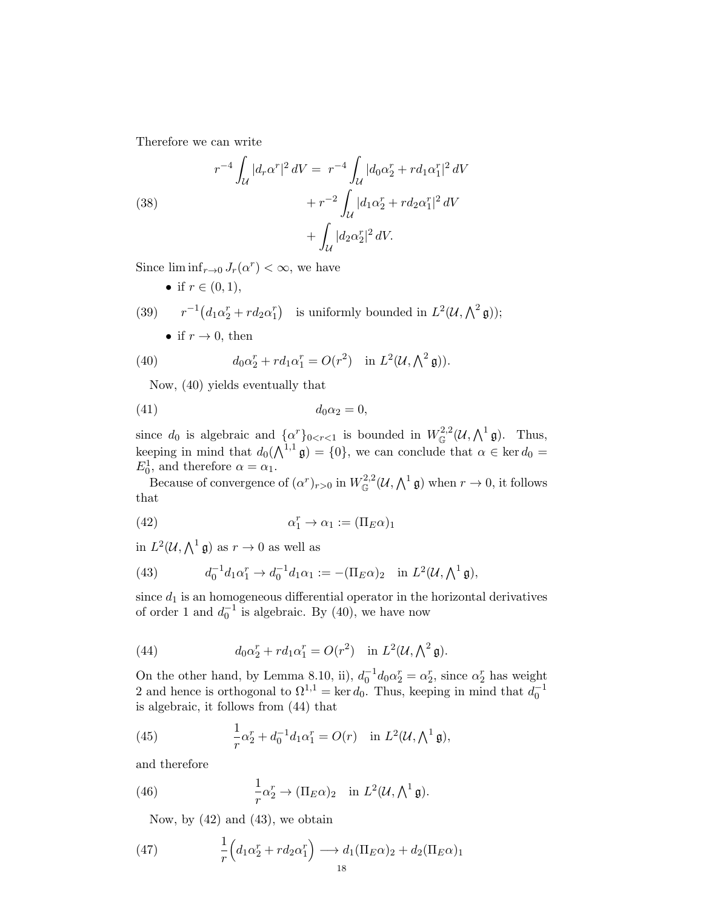Therefore we can write

(38)  

$$
r^{-4} \int_{\mathcal{U}} |d_r \alpha^r|^2 dV = r^{-4} \int_{\mathcal{U}} |d_0 \alpha_2^r + r d_1 \alpha_1^r|^2 dV
$$

$$
+ r^{-2} \int_{\mathcal{U}} |d_1 \alpha_2^r + r d_2 \alpha_1^r|^2 dV
$$

$$
+ \int_{\mathcal{U}} |d_2 \alpha_2^r|^2 dV.
$$

Since  $\liminf_{r\to 0} J_r(\alpha^r) < \infty$ , we have

• if  $r \in (0, 1)$ ,

(39) 
$$
r^{-1}(d_1\alpha_2^r + rd_2\alpha_1^r)
$$
 is uniformly bounded in  $L^2(\mathcal{U}, \bigwedge^2 \mathfrak{g})$ );  
\n• if  $r \to 0$ , then

(40) 
$$
d_0\alpha_2^r + r d_1\alpha_1^r = O(r^2) \text{ in } L^2(\mathcal{U}, \Lambda^2 \mathfrak{g})).
$$

Now, (40) yields eventually that

$$
(41) \t\t d_0\alpha_2 = 0,
$$

since  $d_0$  is algebraic and  $\{\alpha^r\}_{0 \leq r \leq 1}$  is bounded in  $W^{2,2}_{\mathbb{G}}(\mathcal{U},\bigwedge^1 \mathfrak{g})$ . Thus, keeping in mind that  $d_0(\Lambda^{1,1} \mathfrak{g}) = \{0\}$ , we can conclude that  $\alpha \in \ker d_0 =$  $E_0^1$ , and therefore  $\alpha = \alpha_1$ .

Because of convergence of  $(\alpha^r)_{r>0}$  in  $W^{2,2}_{\mathbb{G}}(\mathcal{U},\bigwedge^1 \mathfrak{g})$  when  $r \to 0$ , it follows that

(42) 
$$
\alpha_1^r \to \alpha_1 := (\Pi_E \alpha)_1
$$

in  $L^2(\mathcal{U}, \bigwedge^1 \mathfrak{g})$  as  $r \to 0$  as well as

(43) 
$$
d_0^{-1}d_1\alpha_1^r \to d_0^{-1}d_1\alpha_1 := -(\Pi_E \alpha)_2 \text{ in } L^2(\mathcal{U}, \bigwedge^1 \mathfrak{g}),
$$

since  $d_1$  is an homogeneous differential operator in the horizontal derivatives of order 1 and  $d_0^{-1}$  is algebraic. By (40), we have now

(44) 
$$
d_0\alpha_2^r + r d_1\alpha_1^r = O(r^2) \text{ in } L^2(\mathcal{U}, \bigwedge^2 \mathfrak{g}).
$$

On the other hand, by Lemma 8.10, ii),  $d_0^{-1}d_0\alpha_2^r = \alpha_2^r$ , since  $\alpha_2^r$  has weight 2 and hence is orthogonal to  $\Omega^{1,1} = \ker d_0$ . Thus, keeping in mind that  $d_0^{-1}$ is algebraic, it follows from (44) that

(45) 
$$
\frac{1}{r}\alpha_2^r + d_0^{-1}d_1\alpha_1^r = O(r) \text{ in } L^2(\mathcal{U}, \bigwedge^1 \mathfrak{g}),
$$

and therefore

(46) 
$$
\frac{1}{r}\alpha_2^r \to (\Pi_E \alpha)_2 \quad \text{in } L^2(\mathcal{U}, \bigwedge^1 \mathfrak{g}).
$$

Now, by  $(42)$  and  $(43)$ , we obtain

(47) 
$$
\frac{1}{r}\left(d_1\alpha_2^r + r d_2\alpha_1^r\right) \longrightarrow d_1(\Pi_E\alpha)_2 + d_2(\Pi_E\alpha)_1
$$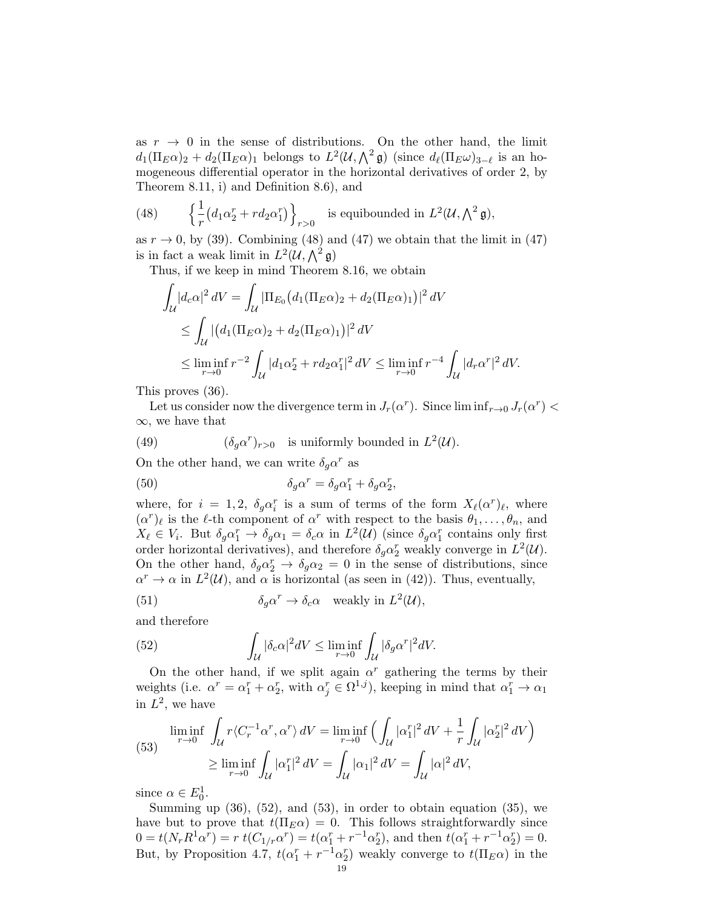as  $r \to 0$  in the sense of distributions. On the other hand, the limit  $d_1(\Pi_E \alpha)_2 + d_2(\Pi_E \alpha)_1$  belongs to  $L^2(\mathcal{U}, \bigwedge^2 \mathfrak{g})$  (since  $d_\ell(\Pi_E \omega)_{3-\ell}$  is an homogeneous differential operator in the horizontal derivatives of order 2, by Theorem 8.11, i) and Definition 8.6), and

(48) 
$$
\left\{ \frac{1}{r} \left( d_1 \alpha_2^r + r d_2 \alpha_1^r \right) \right\}_{r>0} \text{ is equibounded in } L^2(\mathcal{U}, \bigwedge^2 \mathfrak{g}),
$$

as  $r \to 0$ , by (39). Combining (48) and (47) we obtain that the limit in (47) is in fact a weak limit in  $L^2(\mathcal{U}, \bigwedge^2 \mathfrak{g})$ 

Thus, if we keep in mind Theorem 8.16, we obtain

$$
\int_{\mathcal{U}} |d_c \alpha|^2 \, dV = \int_{\mathcal{U}} |\Pi_{E_0} (d_1 (\Pi_E \alpha)_2 + d_2 (\Pi_E \alpha)_1)|^2 \, dV
$$
\n
$$
\leq \int_{\mathcal{U}} |(d_1 (\Pi_E \alpha)_2 + d_2 (\Pi_E \alpha)_1)|^2 \, dV
$$
\n
$$
\leq \liminf_{r \to 0} r^{-2} \int_{\mathcal{U}} |d_1 \alpha_2^r + r d_2 \alpha_1^r|^2 \, dV \leq \liminf_{r \to 0} r^{-4} \int_{\mathcal{U}} |d_r \alpha^r|^2 \, dV.
$$

This proves (36).

Let us consider now the divergence term in  $J_r(\alpha^r)$ . Since  $\liminf_{r\to 0} J_r(\alpha^r)$ ∞, we have that

(49) 
$$
(\delta_g \alpha^r)_{r>0} \text{ is uniformly bounded in } L^2(\mathcal{U}).
$$

On the other hand, we can write  $\delta_g \alpha^r$  as

(50) 
$$
\delta_g \alpha^r = \delta_g \alpha_1^r + \delta_g \alpha_2^r,
$$

where, for  $i = 1, 2, \delta_g \alpha_i^r$  is a sum of terms of the form  $X_{\ell}(\alpha^r)_{\ell}$ , where  $(\alpha^r)_\ell$  is the  $\ell$ -th component of  $\alpha^r$  with respect to the basis  $\theta_1, \ldots, \theta_n$ , and  $X_{\ell} \in V_i$ . But  $\delta_g \alpha_1^r \to \delta_g \alpha_1 = \delta_c \alpha$  in  $L^2(\mathcal{U})$  (since  $\delta_g \alpha_1^r$  contains only first order horizontal derivatives), and therefore  $\delta_g \alpha_2^r$  weakly converge in  $L^2(\mathcal{U})$ . On the other hand,  $\delta_g \alpha_2^r \to \delta_g \alpha_2 = 0$  in the sense of distributions, since  $\alpha^r \to \alpha$  in  $L^2(\mathcal{U})$ , and  $\alpha$  is horizontal (as seen in (42)). Thus, eventually,

(51) 
$$
\delta_g \alpha^r \to \delta_c \alpha \quad \text{weakly in } L^2(\mathcal{U}),
$$

and therefore

(52) 
$$
\int_{\mathcal{U}} |\delta_c \alpha|^2 dV \le \liminf_{r \to 0} \int_{\mathcal{U}} |\delta_g \alpha^r|^2 dV.
$$

On the other hand, if we split again  $\alpha^r$  gathering the terms by their weights (i.e.  $\alpha^r = \alpha_1^r + \alpha_2^r$ , with  $\alpha_j^r \in \Omega^{1,j}$ ), keeping in mind that  $\alpha_1^r \to \alpha_1$ in  $L^2$ , we have

(53) 
$$
\liminf_{r \to 0} \int_{\mathcal{U}} r \langle C_r^{-1} \alpha^r, \alpha^r \rangle dV = \liminf_{r \to 0} \left( \int_{\mathcal{U}} |\alpha_1^r|^2 dV + \frac{1}{r} \int_{\mathcal{U}} |\alpha_2^r|^2 dV \right)
$$

$$
\geq \liminf_{r \to 0} \int_{\mathcal{U}} |\alpha_1^r|^2 dV = \int_{\mathcal{U}} |\alpha_1|^2 dV = \int_{\mathcal{U}} |\alpha|^2 dV,
$$

since  $\alpha \in E_0^1$ .

Summing up  $(36)$ ,  $(52)$ , and  $(53)$ , in order to obtain equation  $(35)$ , we have but to prove that  $t(\Pi_E \alpha) = 0$ . This follows straightforwardly since  $0 = t(N_r R^1 \alpha^r) = r \ t(C_{1/r} \alpha^r) = t(\alpha_1^r + r^{-1} \alpha_2^r)$ , and then  $t(\alpha_1^r + r^{-1} \alpha_2^r) = 0$ . But, by Proposition 4.7,  $t(\alpha_1^r + r^{-1}\alpha_2^r)$  weakly converge to  $t(\Pi_E \alpha)$  in the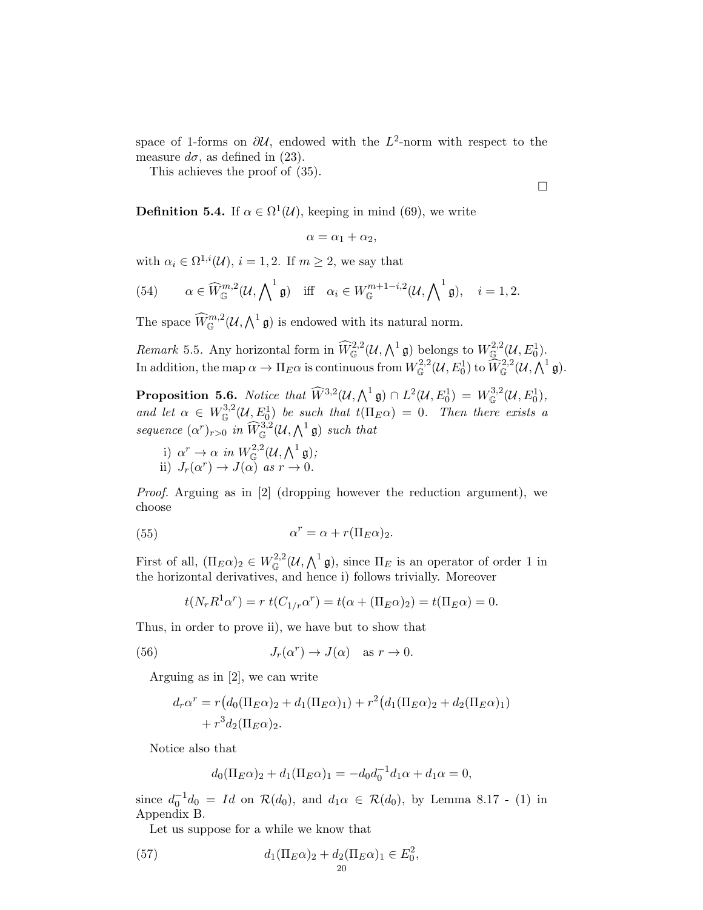space of 1-forms on  $\partial U$ , endowed with the  $L^2$ -norm with respect to the measure  $d\sigma$ , as defined in (23).

This achieves the proof of (35).

 $\Box$ 

**Definition 5.4.** If  $\alpha \in \Omega^1(\mathcal{U})$ , keeping in mind (69), we write

$$
\alpha=\alpha_1+\alpha_2,
$$

with  $\alpha_i \in \Omega^{1,i}(\mathcal{U}), i = 1, 2$ . If  $m \geq 2$ , we say that

(54) 
$$
\alpha \in \widehat{W}_{\mathbb{G}}^{m,2}(\mathcal{U}, \bigwedge \n\begin{matrix} 1 \ \mathfrak{g} \end{matrix}) \quad \text{iff} \quad \alpha_i \in W_{\mathbb{G}}^{m+1-i,2}(\mathcal{U}, \bigwedge \n\begin{matrix} 1 \ \mathfrak{g} \end{matrix}), \quad i = 1, 2.
$$

The space  $\widehat{W}_{\mathbb{G}}^{m,2}(\mathcal{U},\bigwedge^1 \mathfrak{g})$  is endowed with its natural norm.

Remark 5.5. Any horizontal form in  $\widehat{W}_{\mathbb{G}}^{2,2}(\mathcal{U},\bigwedge^1 \mathfrak{g})$  belongs to  $W_{\mathbb{G}}^{2,2}(\mathcal{U},E_0^1)$ . In addition, the map  $\alpha \to \Pi_E \alpha$  is continuous from  $W^{2,2}_{\mathbb{G}}(\mathcal{U},E^1_0)$  to  $\widehat{W}^{2,2}_{\mathbb{G}}(\mathcal{U},\bigwedge^1 \mathfrak{g}).$ 

**Proposition 5.6.** Notice that  $\widehat{W}^{3,2}(\mathcal{U}, \bigwedge^1 \mathfrak{g}) \cap L^2(\mathcal{U}, E_0^1) = W^{3,2}_\mathbb{G}(\mathcal{U}, E_0^1),$ and let  $\alpha \in W^{3,2}_{\mathbb{G}}(\mathcal{U}, E_0^1)$  be such that  $t(\Pi_E \alpha) = 0$ . Then there exists a sequence  $(\alpha^r)_{r>0}$  in  $\widehat{W}_{\mathbb{G}}^{3,2}(\mathcal{U}, \bigwedge^1 \mathfrak{g})$  such that

i) 
$$
\alpha^r \to \alpha
$$
 in  $W_{\mathbb{G}}^{2,2}(\mathcal{U}, \bigwedge^1 \mathfrak{g})$ ;  
ii)  $J_r(\alpha^r) \to J(\alpha)$  as  $r \to 0$ .

Proof. Arguing as in [2] (dropping however the reduction argument), we choose

(55) 
$$
\alpha^r = \alpha + r(\Pi_E \alpha)_2.
$$

First of all,  $(\Pi_E \alpha)_2 \in W^{2,2}_{\mathbb{G}}(\mathcal{U}, \bigwedge^1 \mathfrak{g}),$  since  $\Pi_E$  is an operator of order 1 in the horizontal derivatives, and hence i) follows trivially. Moreover

$$
t(N_r R^1 \alpha^r) = r \ t(C_{1/r} \alpha^r) = t(\alpha + (\Pi_E \alpha)_2) = t(\Pi_E \alpha) = 0.
$$

Thus, in order to prove ii), we have but to show that

(56) 
$$
J_r(\alpha^r) \to J(\alpha) \quad \text{as } r \to 0.
$$

Arguing as in [2], we can write

$$
d_r\alpha^r = r(d_0(\Pi_E \alpha)_2 + d_1(\Pi_E \alpha)_1) + r^2(d_1(\Pi_E \alpha)_2 + d_2(\Pi_E \alpha)_1) + r^3d_2(\Pi_E \alpha)_2.
$$

Notice also that

$$
d_0(\Pi_E \alpha)_2 + d_1(\Pi_E \alpha)_1 = -d_0 d_0^{-1} d_1 \alpha + d_1 \alpha = 0,
$$

since  $d_0^{-1}d_0 = Id$  on  $\mathcal{R}(d_0)$ , and  $d_1\alpha \in \mathcal{R}(d_0)$ , by Lemma 8.17 - (1) in Appendix B.

Let us suppose for a while we know that

(57) 
$$
d_1(\Pi_E \alpha)_2 + d_2(\Pi_E \alpha)_1 \in E_0^2,
$$

$$
d_2(1)
$$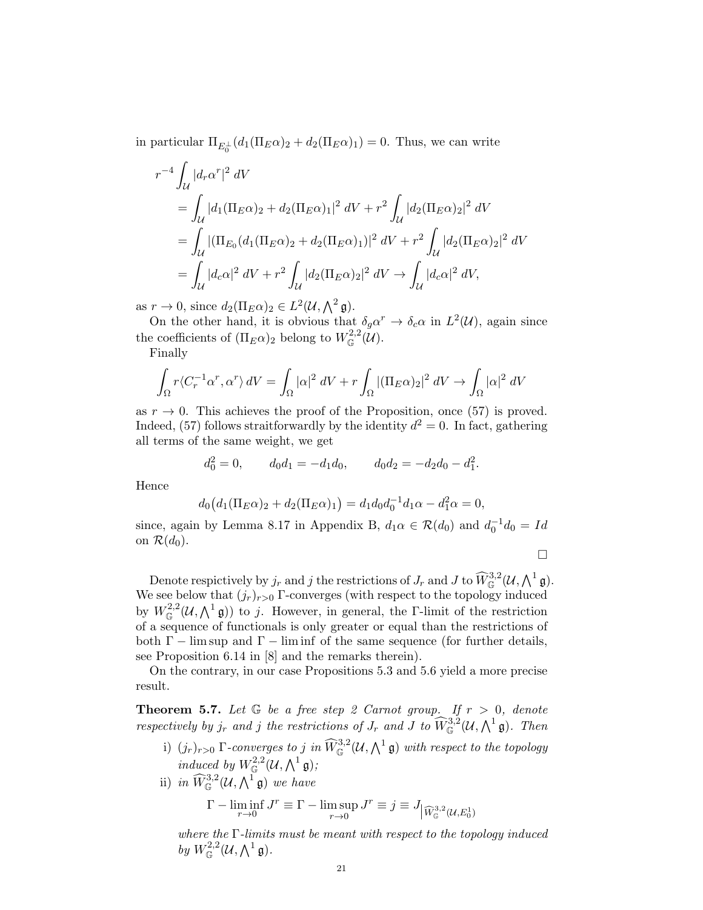in particular  $\Pi_{E_0^{\perp}}(d_1(\Pi_E \alpha)_2 + d_2(\Pi_E \alpha)_1) = 0$ . Thus, we can write

$$
r^{-4} \int_{\mathcal{U}} |d_r \alpha^r|^2 dV
$$
  
=  $\int_{\mathcal{U}} |d_1(\Pi_E \alpha)_2 + d_2(\Pi_E \alpha)_1|^2 dV + r^2 \int_{\mathcal{U}} |d_2(\Pi_E \alpha)_2|^2 dV$   
=  $\int_{\mathcal{U}} |(\Pi_{E_0}(d_1(\Pi_E \alpha)_2 + d_2(\Pi_E \alpha)_1)|^2 dV + r^2 \int_{\mathcal{U}} |d_2(\Pi_E \alpha)_2|^2 dV$   
=  $\int_{\mathcal{U}} |d_c \alpha|^2 dV + r^2 \int_{\mathcal{U}} |d_2(\Pi_E \alpha)_2|^2 dV \rightarrow \int_{\mathcal{U}} |d_c \alpha|^2 dV,$ 

as  $r \to 0$ , since  $d_2(\Pi_E \alpha)_2 \in L^2(\mathcal{U}, \bigwedge^2 \mathfrak{g}).$ 

On the other hand, it is obvious that  $\delta_g \alpha^r \to \delta_c \alpha$  in  $L^2(\mathcal{U})$ , again since the coefficients of  $(\Pi_E \alpha)_2$  belong to  $W^{2,2}_{\mathbb{G}}(\mathcal{U})$ .

Finally

$$
\int_{\Omega} r \langle C_r^{-1} \alpha^r, \alpha^r \rangle dV = \int_{\Omega} |\alpha|^2 dV + r \int_{\Omega} |(\Pi_E \alpha)_2|^2 dV \to \int_{\Omega} |\alpha|^2 dV
$$

as  $r \to 0$ . This achieves the proof of the Proposition, once (57) is proved. Indeed, (57) follows straitforwardly by the identity  $d^2 = 0$ . In fact, gathering all terms of the same weight, we get

$$
d_0^2 = 0,
$$
  $d_0 d_1 = -d_1 d_0,$   $d_0 d_2 = -d_2 d_0 - d_1^2.$ 

Hence

$$
d_0(d_1(\Pi_E \alpha)_2 + d_2(\Pi_E \alpha)_1) = d_1 d_0 d_0^{-1} d_1 \alpha - d_1^2 \alpha = 0,
$$

since, again by Lemma 8.17 in Appendix B,  $d_1 \alpha \in \mathcal{R}(d_0)$  and  $d_0^{-1} d_0 = Id$ on  $\mathcal{R}(d_0)$ .

 $\Box$ 

Denote respictively by  $j_r$  and j the restrictions of  $J_r$  and  $J$  to  $\widehat{W}_{\mathbb{G}}^{3,2}(\mathcal{U},\bigwedge^1 \mathfrak{g})$ . We see below that  $(j_r)_{r>0}$  Γ-converges (with respect to the topology induced by  $W_{\mathbb{G}}^{2,2}(\mathcal{U},\bigwedge^1 \mathfrak{g})$  to j. However, in general, the *Γ*-limit of the restriction of a sequence of functionals is only greater or equal than the restrictions of both  $\Gamma$  – lim sup and  $\Gamma$  – lim inf of the same sequence (for further details, see Proposition 6.14 in [8] and the remarks therein).

On the contrary, in our case Propositions 5.3 and 5.6 yield a more precise result.

**Theorem 5.7.** Let  $G$  be a free step 2 Carnot group. If  $r > 0$ , denote respectively by  $j_r$  and j the restrictions of  $J_r$  and J to  $\widehat{W}_{\mathbb{G}}^{3,2}(\mathcal{U}, \bigwedge^1 \mathfrak{g})$ . Then

- i)  $(j_r)_{r>0}$  Γ-converges to j in  $\widehat{W}_{\mathbb{G}}^{3,2}(\mathcal{U}, \bigwedge^1 \mathfrak{g})$  with respect to the topology induced by  $W^{2,2}_{\mathbb{G}}(\mathcal{U},\bigwedge^1 \mathfrak{g});$
- ii) in  $\widehat{W}_{\mathbb{G}}^{3,2}(\mathcal{U},\bigwedge^1 \mathfrak{g})$  we have

$$
\Gamma - \liminf_{r \to 0} J^r \equiv \Gamma - \limsup_{r \to 0} J^r \equiv j \equiv J_{\left| \widehat{W}_{\mathbb{G}}^{3,2}(\mathcal{U}, E_0^1) \right|}
$$

where the Γ-limits must be meant with respect to the topology induced by  $W^{2,2}_{\mathbb{G}}(\mathcal{U},\bigwedge^1 \mathfrak{g}).$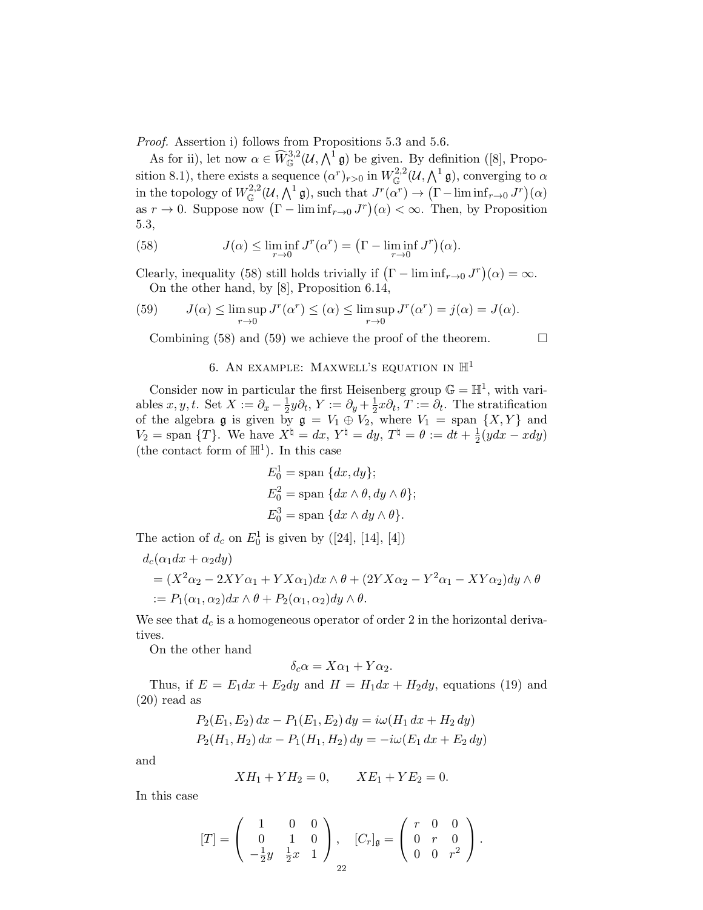Proof. Assertion i) follows from Propositions 5.3 and 5.6.

As for ii), let now  $\alpha \in \widehat{W}_{\mathbb{G}}^{3,2}(\mathcal{U},\bigwedge^1 \mathfrak{g})$  be given. By definition ([8], Proposition 8.1), there exists a sequence  $(\alpha^r)_{r>0}$  in  $W^{2,2}_{\mathbb{G}}(\mathcal{U},\bigwedge^1 \mathfrak{g})$ , converging to  $\alpha$ in the topology of  $W^{2,2}_{\mathbb{G}}(\mathcal{U},\Lambda^1\mathfrak{g})$ , such that  $J^r(\alpha^r) \to (\Gamma-\liminf_{r\to 0} J^r)(\alpha)$ as  $r \to 0$ . Suppose now  $(\Gamma - \liminf_{r \to 0} J^r)(\alpha) < \infty$ . Then, by Proposition 5.3,

(58) 
$$
J(\alpha) \leq \liminf_{r \to 0} J^r(\alpha^r) = \left(\Gamma - \liminf_{r \to 0} J^r\right)(\alpha).
$$

Clearly, inequality (58) still holds trivially if  $(\Gamma - \liminf_{r \to 0} J^r)(\alpha) = \infty$ . On the other hand, by [8], Proposition 6.14,

(59) 
$$
J(\alpha) \le \limsup_{r \to 0} J^r(\alpha^r) \le (\alpha) \le \limsup_{r \to 0} J^r(\alpha^r) = j(\alpha) = J(\alpha).
$$

Combining (58) and (59) we achieve the proof of the theorem.  $\Box$ 

### 6. AN EXAMPLE: MAXWELL'S EQUATION IN  $\mathbb{H}^1$

Consider now in particular the first Heisenberg group  $\mathbb{G} = \mathbb{H}^1$ , with variables  $x, y, t$ . Set  $X := \partial_x - \frac{1}{2}$  $\frac{1}{2}y\partial_t, Y := \partial_y + \frac{1}{2}$  $\frac{1}{2}x\partial_t, T := \partial_t.$  The stratification of the algebra  $\mathfrak g$  is given by  $\mathfrak g = V_1 \oplus V_2$ , where  $V_1 = \text{span }\{X,Y\}$  and  $V_2 = \text{span }\{T\}.$  We have  $X^{\dagger} = dx, Y^{\dagger} = dy, T^{\dagger} = \theta := dt + \frac{1}{2}$  $rac{1}{2}(ydx - xdy)$ (the contact form of  $\mathbb{H}^1$ ). In this case

$$
E_0^1 = \text{span} \{dx, dy\};
$$
  
\n
$$
E_0^2 = \text{span} \{dx \wedge \theta, dy \wedge \theta\};
$$
  
\n
$$
E_0^3 = \text{span} \{dx \wedge dy \wedge \theta\}.
$$

The action of  $d_c$  on  $E_0^1$  is given by ([24], [14], [4])

$$
d_c(\alpha_1 dx + \alpha_2 dy)
$$
  
=  $(X^2 \alpha_2 - 2XY\alpha_1 + YX\alpha_1)dx \wedge \theta + (2YX\alpha_2 - Y^2\alpha_1 - XY\alpha_2)dy \wedge \theta$   
:=  $P_1(\alpha_1, \alpha_2)dx \wedge \theta + P_2(\alpha_1, \alpha_2)dy \wedge \theta$ .

We see that  $d_c$  is a homogeneous operator of order 2 in the horizontal derivatives.

On the other hand

$$
\delta_c \alpha = X\alpha_1 + Y\alpha_2.
$$

Thus, if  $E = E_1 dx + E_2 dy$  and  $H = H_1 dx + H_2 dy$ , equations (19) and (20) read as

$$
P_2(E_1, E_2) dx - P_1(E_1, E_2) dy = i\omega (H_1 dx + H_2 dy)
$$
  
\n
$$
P_2(H_1, H_2) dx - P_1(H_1, H_2) dy = -i\omega (E_1 dx + E_2 dy)
$$

and

$$
XH_1 + YH_2 = 0, \qquad XE_1 + YE_2 = 0.
$$

In this case

$$
[T] = \left(\begin{array}{ccc} 1 & 0 & 0 \\ 0 & 1 & 0 \\ -\frac{1}{2}y & \frac{1}{2}x & 1 \end{array}\right), \quad [C_r]_{\mathfrak{g}} = \left(\begin{array}{ccc} r & 0 & 0 \\ 0 & r & 0 \\ 0 & 0 & r^2 \end{array}\right).
$$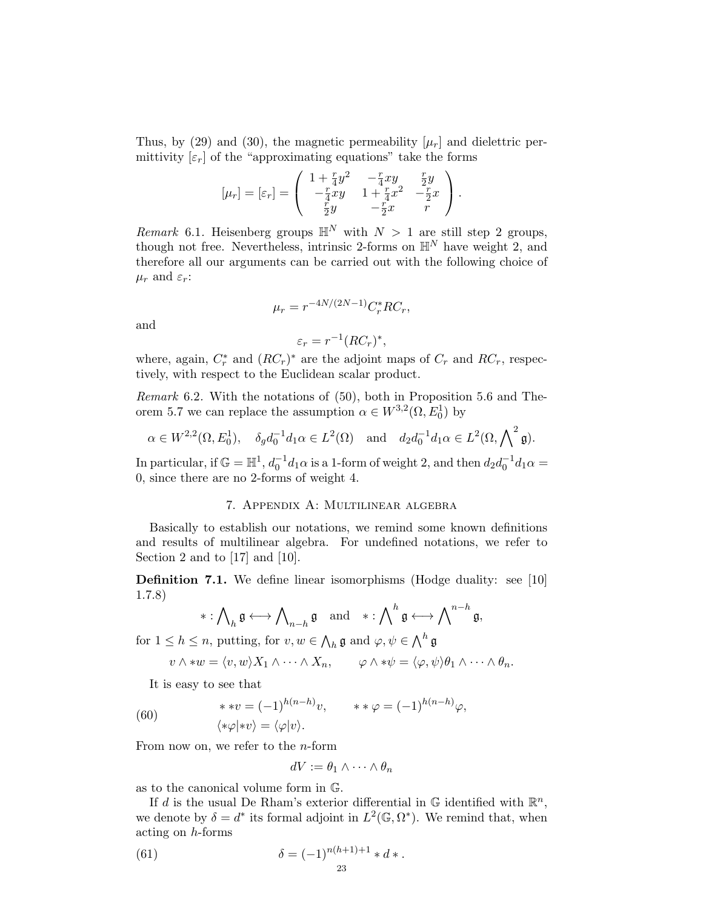Thus, by (29) and (30), the magnetic permeability  $[\mu_r]$  and dielettric permittivity  $[\varepsilon_r]$  of the "approximating equations" take the forms

$$
[\mu_r] = [\varepsilon_r] = \begin{pmatrix} 1 + \frac{r}{4}y^2 & -\frac{r}{4}xy & \frac{r}{2}y \\ -\frac{r}{4}xy & 1 + \frac{r}{4}x^2 & -\frac{r}{2}x \\ \frac{r}{2}y & -\frac{r}{2}x & r \end{pmatrix}.
$$

Remark 6.1. Heisenberg groups  $\mathbb{H}^N$  with  $N > 1$  are still step 2 groups, though not free. Nevertheless, intrinsic 2-forms on  $\mathbb{H}^{N}$  have weight 2, and therefore all our arguments can be carried out with the following choice of  $\mu_r$  and  $\varepsilon_r$ :

$$
\mu_r = r^{-4N/(2N-1)} C_r^* R C_r,
$$

and

$$
\varepsilon_r = r^{-1} (RC_r)^*,
$$

where, again,  $C_r^*$  and  $(RC_r)^*$  are the adjoint maps of  $C_r$  and  $RC_r$ , respectively, with respect to the Euclidean scalar product.

Remark 6.2. With the notations of (50), both in Proposition 5.6 and Theorem 5.7 we can replace the assumption  $\alpha \in W^{3,2}(\Omega, E_0^1)$  by

$$
\alpha \in W^{2,2}(\Omega, E_0^1), \quad \delta_g d_0^{-1} d_1 \alpha \in L^2(\Omega) \quad \text{and} \quad d_2 d_0^{-1} d_1 \alpha \in L^2(\Omega, \bigwedge^2 \mathfrak{g}).
$$

In particular, if  $\mathbb{G} = \mathbb{H}^1$ ,  $d_0^{-1}d_1\alpha$  is a 1-form of weight 2, and then  $d_2d_0^{-1}d_1\alpha =$ 0, since there are no 2-forms of weight 4.

## 7. Appendix A: Multilinear algebra

Basically to establish our notations, we remind some known definitions and results of multilinear algebra. For undefined notations, we refer to Section 2 and to [17] and [10].

**Definition 7.1.** We define linear isomorphisms (Hodge duality: see [10] 1.7.8)

$$
*:\bigwedge\nolimits_h \mathfrak{g}\longleftrightarrow \bigwedge\nolimits_{n-h}\mathfrak{g}\quad\text{and}\quad *:\bigwedge\nolimits^h\mathfrak{g}\longleftrightarrow \bigwedge\nolimits^{n-h}\mathfrak{g},
$$

for  $1 \leq h \leq n$ , putting, for  $v, w \in \bigwedge_h \mathfrak{g}$  and  $\varphi, \psi \in \bigwedge^h \mathfrak{g}$ 

$$
v \wedge *w = \langle v, w \rangle X_1 \wedge \cdots \wedge X_n, \qquad \varphi \wedge * \psi = \langle \varphi, \psi \rangle \theta_1 \wedge \cdots \wedge \theta_n.
$$

It is easy to see that

(60) 
$$
**v = (-1)^{h(n-h)}v, \qquad **\varphi = (-1)^{h(n-h)}\varphi,
$$

$$
\langle *\varphi | *v \rangle = \langle \varphi | v \rangle.
$$

From now on, we refer to the  $n$ -form

$$
dV := \theta_1 \wedge \cdots \wedge \theta_n
$$

as to the canonical volume form in G.

If d is the usual De Rham's exterior differential in  $\mathbb G$  identified with  $\mathbb R^n$ , we denote by  $\delta = d^*$  its formal adjoint in  $L^2(\mathbb{G}, \Omega^*)$ . We remind that, when acting on h-forms

(61) 
$$
\delta = (-1)^{n(h+1)+1} * d *.
$$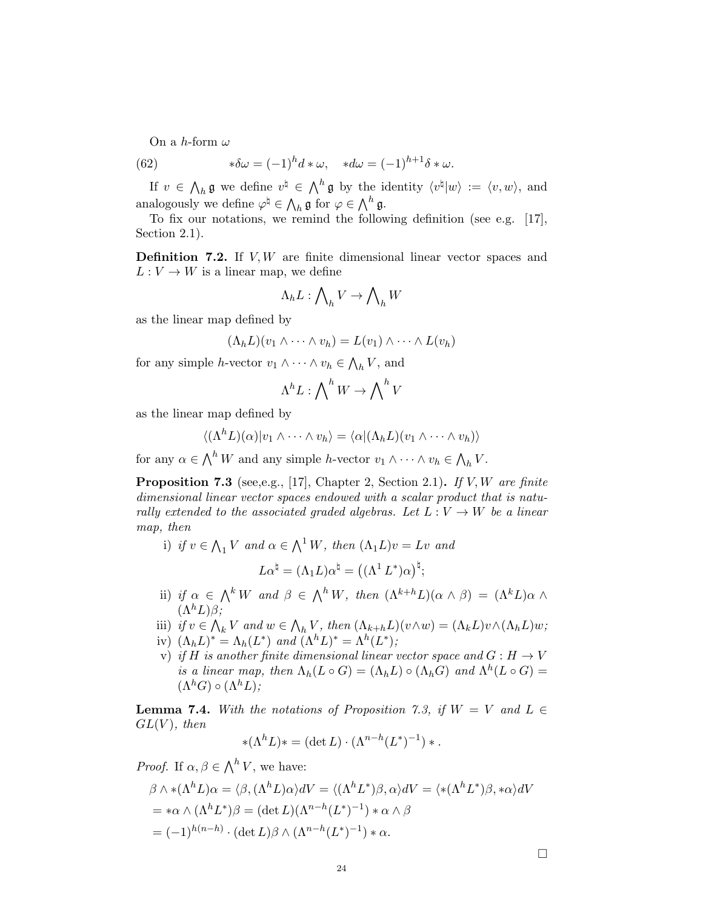On a h-form  $\omega$ 

(62) 
$$
*\delta\omega = (-1)^h d * \omega, \quad *d\omega = (-1)^{h+1} \delta * \omega.
$$

If  $v \in \Lambda_h \mathfrak{g}$  we define  $v^{\natural} \in \Lambda^h \mathfrak{g}$  by the identity  $\langle v^{\natural} | w \rangle := \langle v, w \rangle$ , and analogously we define  $\varphi^{\natural} \in \bigwedge_h \mathfrak{g}$  for  $\varphi \in \bigwedge^h \mathfrak{g}$ .

To fix our notations, we remind the following definition (see e.g. [17], Section 2.1).

**Definition 7.2.** If  $V, W$  are finite dimensional linear vector spaces and  $L: V \to W$  is a linear map, we define

$$
\Lambda_h L: \bigwedge\nolimits_h V \to \bigwedge\nolimits_h W
$$

as the linear map defined by

$$
(\Lambda_h L)(v_1 \wedge \cdots \wedge v_h) = L(v_1) \wedge \cdots \wedge L(v_h)
$$

for any simple h-vector  $v_1 \wedge \cdots \wedge v_h \in \bigwedge_h V$ , and

$$
\Lambda^h L: \bigwedge\nolimits^h W \to \bigwedge\nolimits^h V
$$

as the linear map defined by

$$
\langle (\Lambda^h L)(\alpha)|v_1 \wedge \cdots \wedge v_h \rangle = \langle \alpha | (\Lambda_h L)(v_1 \wedge \cdots \wedge v_h) \rangle
$$

for any  $\alpha \in \bigwedge^h W$  and any simple h-vector  $v_1 \wedge \cdots \wedge v_h \in \bigwedge_h V$ .

**Proposition 7.3** (see,e.g., [17], Chapter 2, Section 2.1). If V, W are finite dimensional linear vector spaces endowed with a scalar product that is naturally extended to the associated graded algebras. Let  $L: V \to W$  be a linear map, then

i) if  $v \in \bigwedge_1 V$  and  $\alpha \in \bigwedge^1 W$ , then  $(\Lambda_1 L)v = Lv$  and

$$
L\alpha^{\natural}=(\Lambda_1 L)\alpha^{\natural}=\big((\Lambda^1\,L^*)\alpha\big)^{\natural};
$$

- ii) if  $\alpha \in \bigwedge^k W$  and  $\beta \in \bigwedge^h W$ , then  $(\Lambda^{k+h} L)(\alpha \wedge \beta) = (\Lambda^k L) \alpha \wedge$  $(\Lambda^h L)\beta$ :
- iii) if  $v \in \bigwedge_k V$  and  $w \in \bigwedge_h V$ , then  $(\Lambda_{k+h} L)(v \wedge w) = (\Lambda_k L)v \wedge (\Lambda_h L)w$ ; iv)  $(\Lambda_h L)^* = \Lambda_h (L^*)$  and  $(\Lambda^h L)^* = \Lambda^h (L^*)$ ;
- v) if H is another finite dimensional linear vector space and  $G : H \to V$ is a linear map, then  $\Lambda_h(L \circ G) = (\Lambda_h L) \circ (\Lambda_h G)$  and  $\Lambda^h(L \circ G) =$  $(\Lambda^h G) \circ (\Lambda^h L)$ ;

**Lemma 7.4.** With the notations of Proposition 7.3, if  $W = V$  and  $L \in$  $GL(V)$ , then

$$
*(\Lambda^h L)* = (\det L) \cdot (\Lambda^{n-h}(L^*)^{-1})*.
$$

*Proof.* If  $\alpha, \beta \in \bigwedge^h V$ , we have:

$$
\beta \wedge *(\Lambda^h L)\alpha = \langle \beta, (\Lambda^h L)\alpha \rangle dV = \langle (\Lambda^h L^*)\beta, \alpha \rangle dV = \langle *(\Lambda^h L^*)\beta, * \alpha \rangle dV
$$
  
=  $* \alpha \wedge (\Lambda^h L^*)\beta = (\det L)(\Lambda^{n-h}(L^*)^{-1}) * \alpha \wedge \beta$   
=  $(-1)^{h(n-h)} \cdot (\det L)\beta \wedge (\Lambda^{n-h}(L^*)^{-1}) * \alpha$ .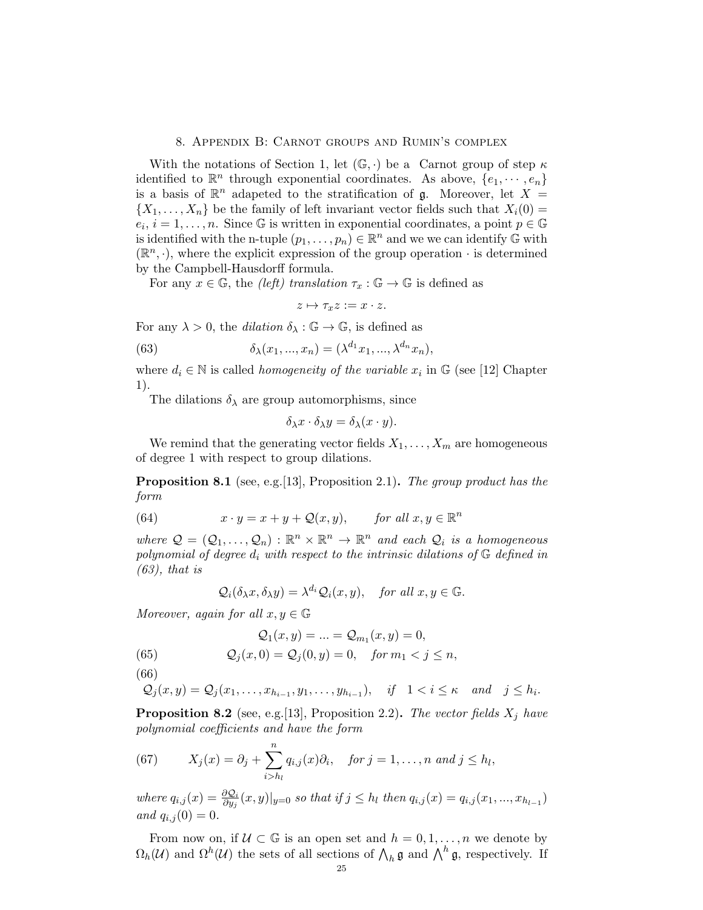### 8. Appendix B: Carnot groups and Rumin's complex

With the notations of Section 1, let  $(\mathbb{G}, \cdot)$  be a Carnot group of step  $\kappa$ identified to  $\mathbb{R}^n$  through exponential coordinates. As above,  $\{e_1, \dots, e_n\}$ is a basis of  $\mathbb{R}^n$  adapeted to the stratification of g. Moreover, let  $X =$  $\{X_1, \ldots, X_n\}$  be the family of left invariant vector fields such that  $X_i(0) =$  $e_i, i = 1, \ldots, n$ . Since G is written in exponential coordinates, a point  $p \in \mathbb{G}$ is identified with the n-tuple  $(p_1, \ldots, p_n) \in \mathbb{R}^n$  and we we can identify G with  $(\mathbb{R}^n, \cdot)$ , where the explicit expression of the group operation  $\cdot$  is determined by the Campbell-Hausdorff formula.

For any  $x \in \mathbb{G}$ , the *(left)* translation  $\tau_x : \mathbb{G} \to \mathbb{G}$  is defined as

$$
z \mapsto \tau_x z := x \cdot z.
$$

For any  $\lambda > 0$ , the *dilation*  $\delta_{\lambda} : \mathbb{G} \to \mathbb{G}$ , is defined as

(63) 
$$
\delta_{\lambda}(x_1, ..., x_n) = (\lambda^{d_1} x_1, ..., \lambda^{d_n} x_n),
$$

where  $d_i \in \mathbb{N}$  is called *homogeneity of the variable*  $x_i$  in  $\mathbb{G}$  (see [12] Chapter 1).

The dilations  $\delta_{\lambda}$  are group automorphisms, since

$$
\delta_{\lambda} x \cdot \delta_{\lambda} y = \delta_{\lambda} (x \cdot y).
$$

We remind that the generating vector fields  $X_1, \ldots, X_m$  are homogeneous of degree 1 with respect to group dilations.

**Proposition 8.1** (see, e.g. [13], Proposition 2.1). The group product has the form

(64) 
$$
x \cdot y = x + y + \mathcal{Q}(x, y), \quad \text{for all } x, y \in \mathbb{R}^n
$$

where  $\mathcal{Q} = (\mathcal{Q}_1, \ldots, \mathcal{Q}_n) : \mathbb{R}^n \times \mathbb{R}^n \to \mathbb{R}^n$  and each  $\mathcal{Q}_i$  is a homogeneous polynomial of degree  $d_i$  with respect to the intrinsic dilations of  $\mathbb G$  defined in  $(63)$ , that is

$$
Q_i(\delta_\lambda x, \delta_\lambda y) = \lambda^{d_i} Q_i(x, y),
$$
 for all  $x, y \in \mathbb{G}$ .

Moreover, again for all  $x, y \in \mathbb{G}$ 

$$
\mathcal{Q}_1(x,y)=...=\mathcal{Q}_{m_1}(x,y)=0,
$$

(65) 
$$
Q_j(x, 0) = Q_j(0, y) = 0
$$
, for  $m_1 < j \le n$ ,

(66)

$$
Q_j(x, y) = Q_j(x_1, \ldots, x_{h_{i-1}}, y_1, \ldots, y_{h_{i-1}}), \quad \text{if} \quad 1 < i \leq \kappa \quad \text{and} \quad j \leq h_i.
$$

**Proposition 8.2** (see, e.g. [13], Proposition 2.2). The vector fields  $X_j$  have polynomial coefficients and have the form

(67) 
$$
X_j(x) = \partial_j + \sum_{i>h_l}^n q_{i,j}(x)\partial_i, \quad \text{for } j = 1,\ldots, n \text{ and } j \leq h_l,
$$

where  $q_{i,j}(x) = \frac{\partial Q_i}{\partial y_j}(x, y)|_{y=0}$  so that if  $j \leq h_l$  then  $q_{i,j}(x) = q_{i,j}(x_1, ..., x_{h_{l-1}})$ and  $q_{i,j}(0) = 0$ .

From now on, if  $\mathcal{U} \subset \mathbb{G}$  is an open set and  $h = 0, 1, \ldots, n$  we denote by  $\Omega_h(\mathcal{U})$  and  $\Omega^h(\mathcal{U})$  the sets of all sections of  $\bigwedge_h \mathfrak{g}$  and  $\bigwedge^h \mathfrak{g}$ , respectively. If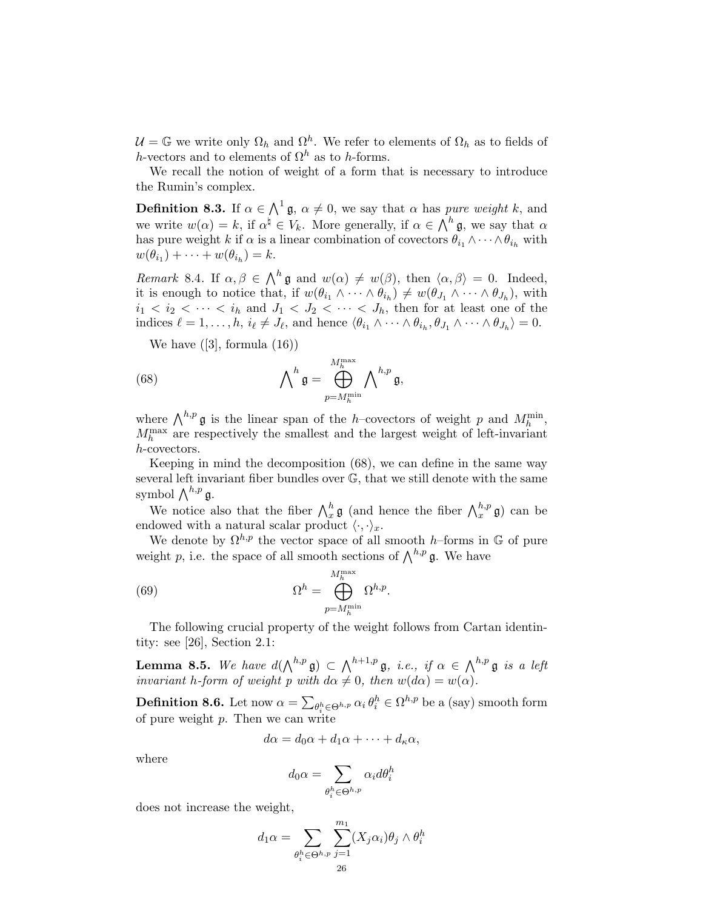$\mathcal{U} = \mathbb{G}$  we write only  $\Omega_h$  and  $\Omega^h$ . We refer to elements of  $\Omega_h$  as to fields of h-vectors and to elements of  $\Omega^h$  as to h-forms.

We recall the notion of weight of a form that is necessary to introduce the Rumin's complex.

**Definition 8.3.** If  $\alpha \in \Lambda^1$  **g**,  $\alpha \neq 0$ , we say that  $\alpha$  has *pure weight k*, and we write  $w(\alpha) = k$ , if  $\alpha^{\natural} \in V_k$ . More generally, if  $\alpha \in \Lambda^h \mathfrak{g}$ , we say that  $\alpha$ has pure weight k if  $\alpha$  is a linear combination of covectors  $\theta_{i_1} \wedge \cdots \wedge \theta_{i_h}$  with  $w(\theta_{i_1}) + \cdots + w(\theta_{i_h}) = k.$ 

Remark 8.4. If  $\alpha, \beta \in \bigwedge^h \mathfrak{g}$  and  $w(\alpha) \neq w(\beta)$ , then  $\langle \alpha, \beta \rangle = 0$ . Indeed, it is enough to notice that, if  $w(\theta_{i_1} \wedge \cdots \wedge \theta_{i_h}) \neq w(\theta_{J_1} \wedge \cdots \wedge \theta_{J_h})$ , with  $i_1 < i_2 < \cdots < i_h$  and  $J_1 < J_2 < \cdots < J_h$ , then for at least one of the indices  $\ell = 1, \ldots, h, i_{\ell} \neq J_{\ell}$ , and hence  $\langle \theta_{i_1} \wedge \cdots \wedge \theta_{i_h}, \theta_{J_1} \wedge \cdots \wedge \theta_{J_h} \rangle = 0$ .

We have  $([3],$  formula  $(16))$ 

(68) 
$$
\bigwedge\nolimits^h \mathfrak{g} = \bigoplus_{p=M_h^{\min}}^{M_h^{\max}} \bigwedge\nolimits^{h,p} \mathfrak{g},
$$

where  $\bigwedge^{h,p} \mathfrak{g}$  is the linear span of the h–covectors of weight p and  $M_h^{\min}$ ,  $M_h^{\text{max}}$  are respectively the smallest and the largest weight of left-invariant h-covectors.

Keeping in mind the decomposition (68), we can define in the same way several left invariant fiber bundles over G, that we still denote with the same symbol  $\bigwedge^{h,p} \mathfrak{g}.$ 

We notice also that the fiber  $\bigwedge_x^h \mathfrak{g}$  (and hence the fiber  $\bigwedge_x^{h,p} \mathfrak{g}$ ) can be endowed with a natural scalar product  $\langle \cdot, \cdot \rangle_x$ .

We denote by  $\Omega^{h,p}$  the vector space of all smooth h–forms in G of pure weight p, i.e. the space of all smooth sections of  $\bigwedge^{h,p} \mathfrak{g}$ . We have

(69) 
$$
\Omega^{h} = \bigoplus_{p=M_{h}^{\min}}^{M_{h}^{\max}} \Omega^{h,p}.
$$

The following crucial property of the weight follows from Cartan identintity: see [26], Section 2.1:

**Lemma 8.5.** We have  $d(\bigwedge^{h,p} \mathfrak{g}) \subset \bigwedge^{h+1,p} \mathfrak{g},$  i.e., if  $\alpha \in \bigwedge^{h,p} \mathfrak{g}$  is a left invariant h-form of weight p with  $d\alpha \neq 0$ , then  $w(d\alpha) = w(\alpha)$ .

**Definition 8.6.** Let now  $\alpha = \sum_{\theta_i^h \in \Theta^{h,p}} \alpha_i \theta_i^h \in \Omega^{h,p}$  be a (say) smooth form of pure weight  $p$ . Then we can write

$$
d\alpha = d_0\alpha + d_1\alpha + \dots + d_\kappa\alpha,
$$

where

$$
d_0\alpha=\sum_{\theta_i^h\in\Theta^{h,p}}\alpha_id\theta_i^h
$$

does not increase the weight,

$$
d_1 \alpha = \sum_{\theta_i^h \in \Theta^{h,p}} \sum_{j=1}^{m_1} (X_j \alpha_i) \theta_j \wedge \theta_i^h
$$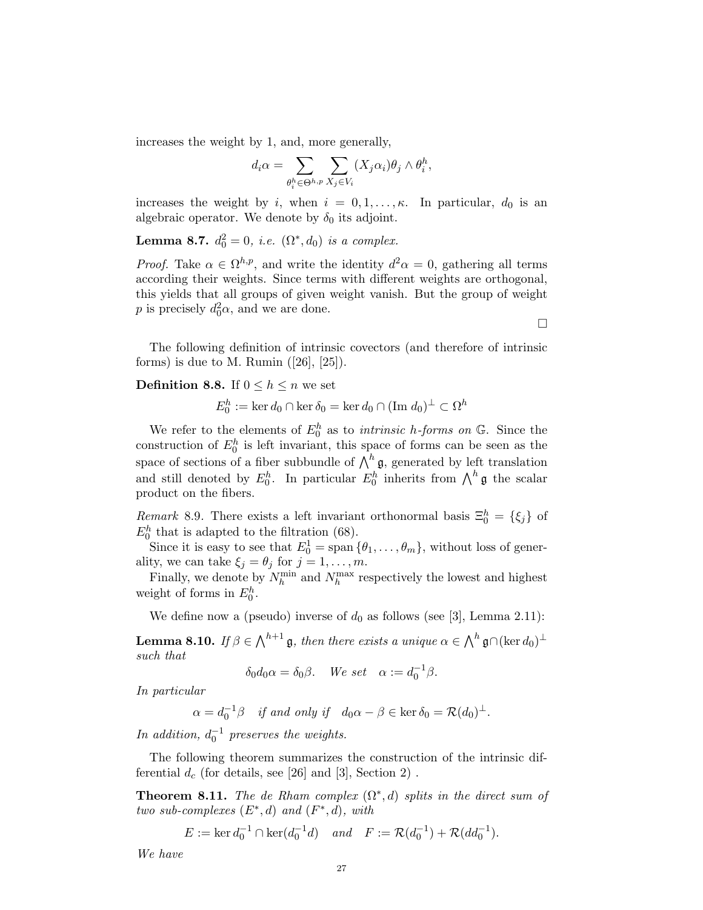increases the weight by 1, and, more generally,

$$
d_i \alpha = \sum_{\theta_i^h \in \Theta^{h,p}} \sum_{X_j \in V_i} (X_j \alpha_i) \theta_j \wedge \theta_i^h,
$$

increases the weight by i, when  $i = 0, 1, \ldots, \kappa$ . In particular,  $d_0$  is an algebraic operator. We denote by  $\delta_0$  its adjoint.

**Lemma 8.7.**  $d_0^2 = 0$ , *i.e.*  $(\Omega^*, d_0)$  *is a complex.* 

*Proof.* Take  $\alpha \in \Omega^{h,p}$ , and write the identity  $d^2\alpha = 0$ , gathering all terms according their weights. Since terms with different weights are orthogonal, this yields that all groups of given weight vanish. But the group of weight p is precisely  $d_0^2 \alpha$ , and we are done.

The following definition of intrinsic covectors (and therefore of intrinsic forms) is due to M. Rumin  $([26], [25])$ .

## **Definition 8.8.** If  $0 \leq h \leq n$  we set

$$
E_0^h := \ker d_0 \cap \ker \delta_0 = \ker d_0 \cap (\text{Im } d_0)^{\perp} \subset \Omega^h
$$

We refer to the elements of  $E_0^h$  as to *intrinsic h-forms on*  $\mathbb{G}$ . Since the construction of  $E_0^h$  is left invariant, this space of forms can be seen as the space of sections of a fiber subbundle of  $\bigwedge^h \mathfrak{g}$ , generated by left translation and still denoted by  $E_0^h$ . In particular  $E_0^h$  inherits from  $\bigwedge^h \mathfrak{g}$  the scalar product on the fibers.

Remark 8.9. There exists a left invariant orthonormal basis  $\Xi_0^h = \{\xi_j\}$  of  $E_0^h$  that is adapted to the filtration (68).

Since it is easy to see that  $E_0^1 = \text{span} \{\theta_1, \ldots, \theta_m\}$ , without loss of generality, we can take  $\xi_j = \theta_j$  for  $j = 1, \ldots, m$ .

Finally, we denote by  $N_h^{\min}$  and  $N_h^{\max}$  respectively the lowest and highest weight of forms in  $E_0^h$ .

We define now a (pseudo) inverse of  $d_0$  as follows (see [3], Lemma 2.11):

**Lemma 8.10.** If  $\beta \in \bigwedge^{h+1} \mathfrak{g}$ , then there exists a unique  $\alpha \in \bigwedge^h \mathfrak{g} \cap (\ker d_0)^{\perp}$ such that

 $\delta_0 d_0 \alpha = \delta_0 \beta$ . We set  $\alpha := d_0^{-1} \beta$ .

In particular

 $\alpha = d_0^{-1}\beta$  if and only if  $d_0\alpha - \beta \in \ker \delta_0 = \mathcal{R}(d_0)^{\perp}$ .

In addition,  $d_0^{-1}$  preserves the weights.

The following theorem summarizes the construction of the intrinsic differential  $d_c$  (for details, see [26] and [3], Section 2).

**Theorem 8.11.** The de Rham complex  $(\Omega^*, d)$  splits in the direct sum of two sub-complexes  $(E^*, d)$  and  $(F^*, d)$ , with

 $E := \ker d_0^{-1} \cap \ker (d_0^{-1}d)$  and  $F := \mathcal{R}(d_0^{-1}) + \mathcal{R}(dd_0^{-1}).$ 

We have

 $\Box$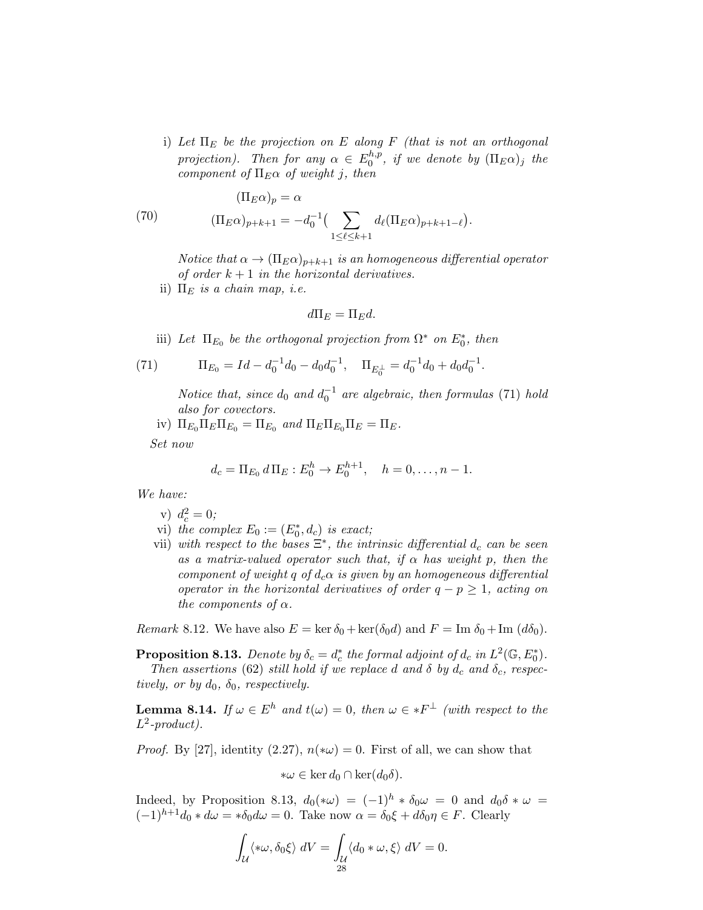i) Let  $\Pi_E$  be the projection on E along F (that is not an orthogonal projection). Then for any  $\alpha \in E_0^{h,p}$  $_{0}^{n,p},$  if we denote by  $(\Pi_{E}\alpha)_{j}$  the component of  $\Pi_E \alpha$  of weight j, then

(70) 
$$
(\Pi_E \alpha)_p = \alpha
$$

$$
(\Pi_E \alpha)_{p+k+1} = -d_0^{-1} \left( \sum_{1 \leq \ell \leq k+1} d_\ell (\Pi_E \alpha)_{p+k+1-\ell} \right)
$$

Notice that  $\alpha \to (\Pi_E \alpha)_{p+k+1}$  is an homogeneous differential operator of order  $k + 1$  in the horizontal derivatives.

.

ii)  $\Pi_E$  is a chain map, i.e.

$$
d\Pi_E = \Pi_E d.
$$

iii) Let  $\Pi_{E_0}$  be the orthogonal projection from  $\Omega^*$  on  $E_0^*$ , then

(71) 
$$
\Pi_{E_0} = Id - d_0^{-1} d_0 - d_0 d_0^{-1}, \quad \Pi_{E_0^{\perp}} = d_0^{-1} d_0 + d_0 d_0^{-1}.
$$

Notice that, since  $d_0$  and  $d_0^{-1}$  are algebraic, then formulas (71) hold also for covectors.

iv)  $\Pi_{E_0} \Pi_E \Pi_{E_0} = \Pi_{E_0}$  and  $\Pi_E \Pi_{E_0} \Pi_E = \Pi_E$ .

Set now

$$
d_c = \Pi_{E_0} d \Pi_E : E_0^h \to E_0^{h+1}, \quad h = 0, \dots, n-1.
$$

We have:

- v)  $d_c^2 = 0;$
- vi) the complex  $E_0 := (E_0^*, d_c)$  is exact;
- vii) with respect to the bases  $\Xi^*$ , the intrinsic differential  $d_c$  can be seen as a matrix-valued operator such that, if  $\alpha$  has weight p, then the component of weight q of  $d_c \alpha$  is given by an homogeneous differential operator in the horizontal derivatives of order  $q - p \geq 1$ , acting on the components of  $\alpha$ .

Remark 8.12. We have also  $E = \ker \delta_0 + \ker(\delta_0 d)$  and  $F = \text{Im } \delta_0 + \text{Im } (d\delta_0)$ .

**Proposition 8.13.** Denote by  $\delta_c = d_c^*$  the formal adjoint of  $d_c$  in  $L^2(\mathbb{G}, E_0^*)$ . Then assertions (62) still hold if we replace d and  $\delta$  by  $d_c$  and  $\delta_c$ , respectively, or by  $d_0$ ,  $\delta_0$ , respectively.

**Lemma 8.14.** If  $\omega \in E^h$  and  $t(\omega) = 0$ , then  $\omega \in *F^{\perp}$  (with respect to the  $L^2$ -product).

*Proof.* By [27], identity (2.27),  $n(*\omega) = 0$ . First of all, we can show that

$$
*\omega \in \ker d_0 \cap \ker (d_0 \delta).
$$

Indeed, by Proposition 8.13,  $d_0(*\omega) = (-1)^h * \delta_0 \omega = 0$  and  $d_0 \delta * \omega =$  $(-1)^{h+1}d_0 * d\omega = * \delta_0 d\omega = 0$ . Take now  $\alpha = \delta_0 \xi + d\delta_0 \eta \in F$ . Clearly

$$
\int_{\mathcal{U}} \langle *\omega, \delta_0 \xi \rangle \, dV = \int_{\mathcal{U}} \langle d_0 * \omega, \xi \rangle \, dV = 0.
$$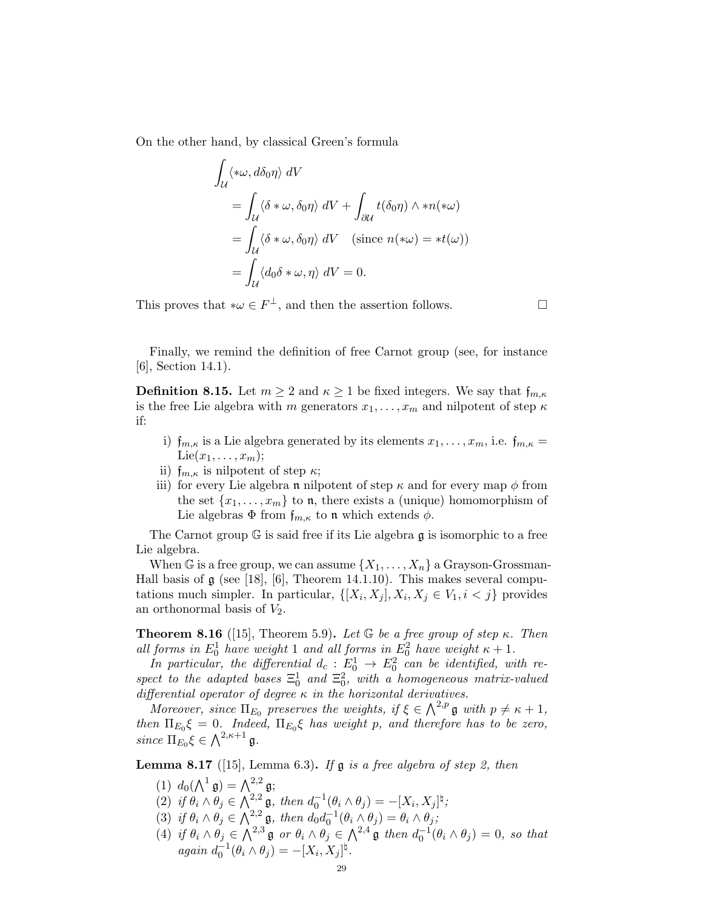On the other hand, by classical Green's formula

$$
\int_{\mathcal{U}} \langle *\omega, d\delta_0 \eta \rangle dV
$$
\n
$$
= \int_{\mathcal{U}} \langle \delta * \omega, \delta_0 \eta \rangle dV + \int_{\partial \mathcal{U}} t(\delta_0 \eta) \wedge *n(*\omega)
$$
\n
$$
= \int_{\mathcal{U}} \langle \delta * \omega, \delta_0 \eta \rangle dV \quad \text{(since } n(*\omega) = *t(\omega) \text{)}
$$
\n
$$
= \int_{\mathcal{U}} \langle d_0 \delta * \omega, \eta \rangle dV = 0.
$$

This proves that  $*\omega \in F^{\perp}$ , and then the assertion follows.  $\square$ 

Finally, we remind the definition of free Carnot group (see, for instance [6], Section 14.1).

**Definition 8.15.** Let  $m \geq 2$  and  $\kappa \geq 1$  be fixed integers. We say that  $f_{m,\kappa}$ is the free Lie algebra with m generators  $x_1, \ldots, x_m$  and nilpotent of step  $\kappa$ if:

- i)  $f_{m,\kappa}$  is a Lie algebra generated by its elements  $x_1, \ldots, x_m$ , i.e.  $f_{m,\kappa} =$ Lie $(x_1, \ldots, x_m);$
- ii)  $f_{m,\kappa}$  is nilpotent of step  $\kappa$ ;
- iii) for every Lie algebra **n** nilpotent of step  $\kappa$  and for every map  $\phi$  from the set  $\{x_1, \ldots, x_m\}$  to **n**, there exists a (unique) homomorphism of Lie algebras  $\Phi$  from  $f_{m,\kappa}$  to n which extends  $\phi$ .

The Carnot group  $\mathbb G$  is said free if its Lie algebra  $\mathfrak g$  is isomorphic to a free Lie algebra.

When G is a free group, we can assume  $\{X_1, \ldots, X_n\}$  a Grayson-Grossman-Hall basis of  $\mathfrak g$  (see [18], [6], Theorem 14.1.10). This makes several computations much simpler. In particular,  $\{[X_i, X_j], X_i, X_j \in V_1, i \leq j\}$  provides an orthonormal basis of  $V_2$ .

**Theorem 8.16** ([15], Theorem 5.9). Let  $G$  be a free group of step  $\kappa$ . Then all forms in  $E_0^1$  have weight 1 and all forms in  $E_0^2$  have weight  $\kappa + 1$ .

In particular, the differential  $d_c$ :  $E_0^1 \rightarrow E_0^2$  can be identified, with respect to the adapted bases  $\Xi_0^1$  and  $\Xi_0^2$ , with a homogeneous matrix-valued differential operator of degree  $\kappa$  in the horizontal derivatives.

Moreover, since  $\Pi_{E_0}$  preserves the weights, if  $\xi \in \bigwedge^{2,p} \mathfrak{g}$  with  $p \neq \kappa + 1$ , then  $\Pi_{E_0} \xi = 0$ . Indeed,  $\Pi_{E_0} \xi$  has weight p, and therefore has to be zero, since  $\Pi_{E_0} \xi \in \bigwedge^{2,\kappa+1} \mathfrak{g}.$ 

**Lemma 8.17** ([15], Lemma 6.3). If  $\mathfrak g$  is a free algebra of step 2, then

- (1)  $d_0(\Lambda^1 \mathfrak{g}) = \Lambda^{2,2} \mathfrak{g};$
- (2) if  $\theta_i \wedge \theta_j \in \bigwedge_{i=1}^{2,2} \mathfrak{g}$ , then  $d_0^{-1}(\theta_i \wedge \theta_j) = -[X_i, X_j]^{\natural}$ ;
- (3) if  $\theta_i \wedge \theta_j \in \bigwedge^{2,2} \mathfrak{g}$ , then  $d_0 d_0^{-1} (\theta_i \wedge \theta_j) = \theta_i \wedge \theta_j$ ;
- (4) if  $\theta_i \wedge \theta_j \in \bigwedge^{2,3} \mathfrak{g}$  or  $\theta_i \wedge \theta_j \in \bigwedge^{2,4} \mathfrak{g}$  then  $d_0^{-1}(\theta_i \wedge \theta_j) = 0$ , so that  $again \, d_0^{-1}(\theta_i \wedge \theta_j) = -[X_i, X_j]^{\natural}.$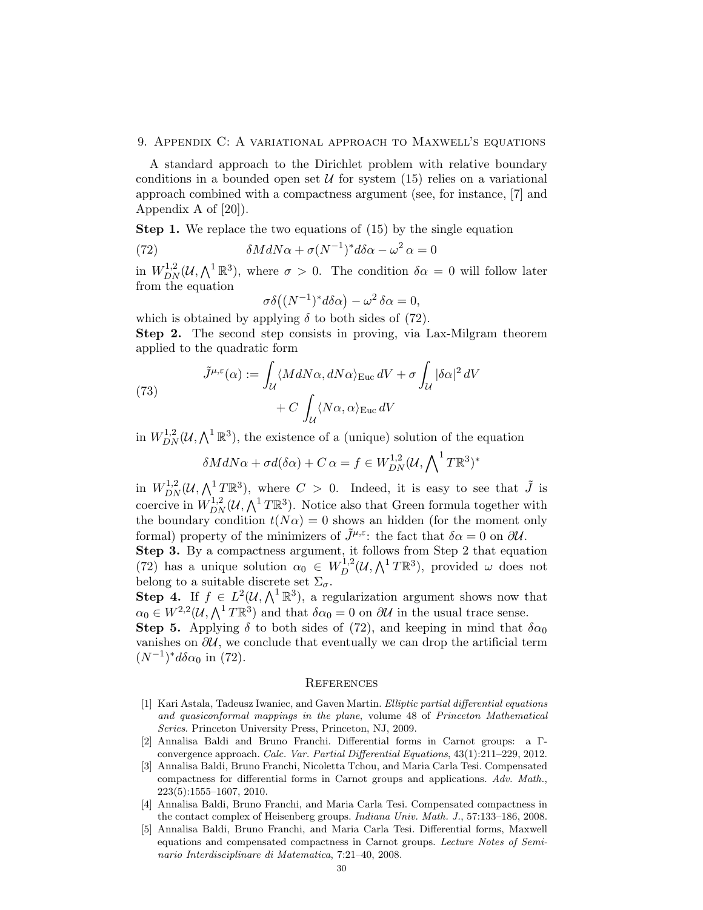#### 9. Appendix C: A variational approach to Maxwell's equations

A standard approach to the Dirichlet problem with relative boundary conditions in a bounded open set  $\mathcal U$  for system (15) relies on a variational approach combined with a compactness argument (see, for instance, [7] and Appendix A of [20]).

**Step 1.** We replace the two equations of (15) by the single equation

(72) 
$$
\delta M dN \alpha + \sigma (N^{-1})^* d \delta \alpha - \omega^2 \alpha = 0
$$

in  $W_{DN}^{1,2}(\mathcal{U},\bigwedge^1\mathbb{R}^3)$ , where  $\sigma > 0$ . The condition  $\delta \alpha = 0$  will follow later from the equation

$$
\sigma\delta\big((N^{-1})^*d\delta\alpha\big) - \omega^2\,\delta\alpha = 0,
$$

which is obtained by applying  $\delta$  to both sides of (72).

Step 2. The second step consists in proving, via Lax-Milgram theorem applied to the quadratic form

(73) 
$$
\tilde{J}^{\mu,\varepsilon}(\alpha) := \int_{\mathcal{U}} \langle M dN\alpha, dN\alpha \rangle_{\text{Euc}} dV + \sigma \int_{\mathcal{U}} |\delta\alpha|^2 dV + C \int_{\mathcal{U}} \langle N\alpha, \alpha \rangle_{\text{Euc}} dV
$$

in  $W_{DN}^{1,2}(\mathcal{U},\bigwedge^1 \mathbb{R}^3)$ , the existence of a (unique) solution of the equation

$$
\delta M dN\alpha + \sigma d(\delta \alpha) + C \alpha = f \in W_{DN}^{1,2}(\mathcal{U}, \bigwedge \n\begin{matrix} T \mathbb{R}^3 \end{matrix})^*
$$

in  $W_{DN}^{1,2}(\mathcal{U},\bigwedge^1 T\mathbb{R}^3)$ , where  $C > 0$ . Indeed, it is easy to see that  $\tilde{J}$  is coercive in  $W_{DN}^{1,2}(\mathcal{U},\bigwedge^1 T\mathbb{R}^3)$ . Notice also that Green formula together with the boundary condition  $t(N\alpha) = 0$  shows an hidden (for the moment only formal) property of the minimizers of  $\tilde{J}^{\mu,\varepsilon}$ : the fact that  $\delta \alpha = 0$  on  $\partial \mathcal{U}$ .

Step 3. By a compactness argument, it follows from Step 2 that equation (72) has a unique solution  $\alpha_0 \in W_D^{1,2}(\mathcal{U}, \bigwedge^1 T \mathbb{R}^3)$ , provided  $\omega$  does not belong to a suitable discrete set  $\Sigma_{\sigma}$ .

**Step 4.** If  $f \in L^2(\mathcal{U}, \bigwedge^1 \mathbb{R}^3)$ , a regularization argument shows now that  $\alpha_0 \in W^{2,2}(\mathcal{U}, \bigwedge^1 T \mathbb{R}^3)$  and that  $\delta \alpha_0 = 0$  on  $\partial \mathcal{U}$  in the usual trace sense.

Step 5. Applying  $\delta$  to both sides of (72), and keeping in mind that  $\delta \alpha_0$ vanishes on  $\partial U$ , we conclude that eventually we can drop the artificial term  $(N^{-1})^*d\delta\alpha_0$  in (72).

### **REFERENCES**

- [1] Kari Astala, Tadeusz Iwaniec, and Gaven Martin. Elliptic partial differential equations and quasiconformal mappings in the plane, volume 48 of Princeton Mathematical Series. Princeton University Press, Princeton, NJ, 2009.
- [2] Annalisa Baldi and Bruno Franchi. Differential forms in Carnot groups: a Γconvergence approach. Calc. Var. Partial Differential Equations, 43(1):211–229, 2012.
- [3] Annalisa Baldi, Bruno Franchi, Nicoletta Tchou, and Maria Carla Tesi. Compensated compactness for differential forms in Carnot groups and applications. Adv. Math., 223(5):1555–1607, 2010.
- [4] Annalisa Baldi, Bruno Franchi, and Maria Carla Tesi. Compensated compactness in the contact complex of Heisenberg groups. Indiana Univ. Math. J., 57:133–186, 2008.
- [5] Annalisa Baldi, Bruno Franchi, and Maria Carla Tesi. Differential forms, Maxwell equations and compensated compactness in Carnot groups. Lecture Notes of Seminario Interdisciplinare di Matematica, 7:21–40, 2008.